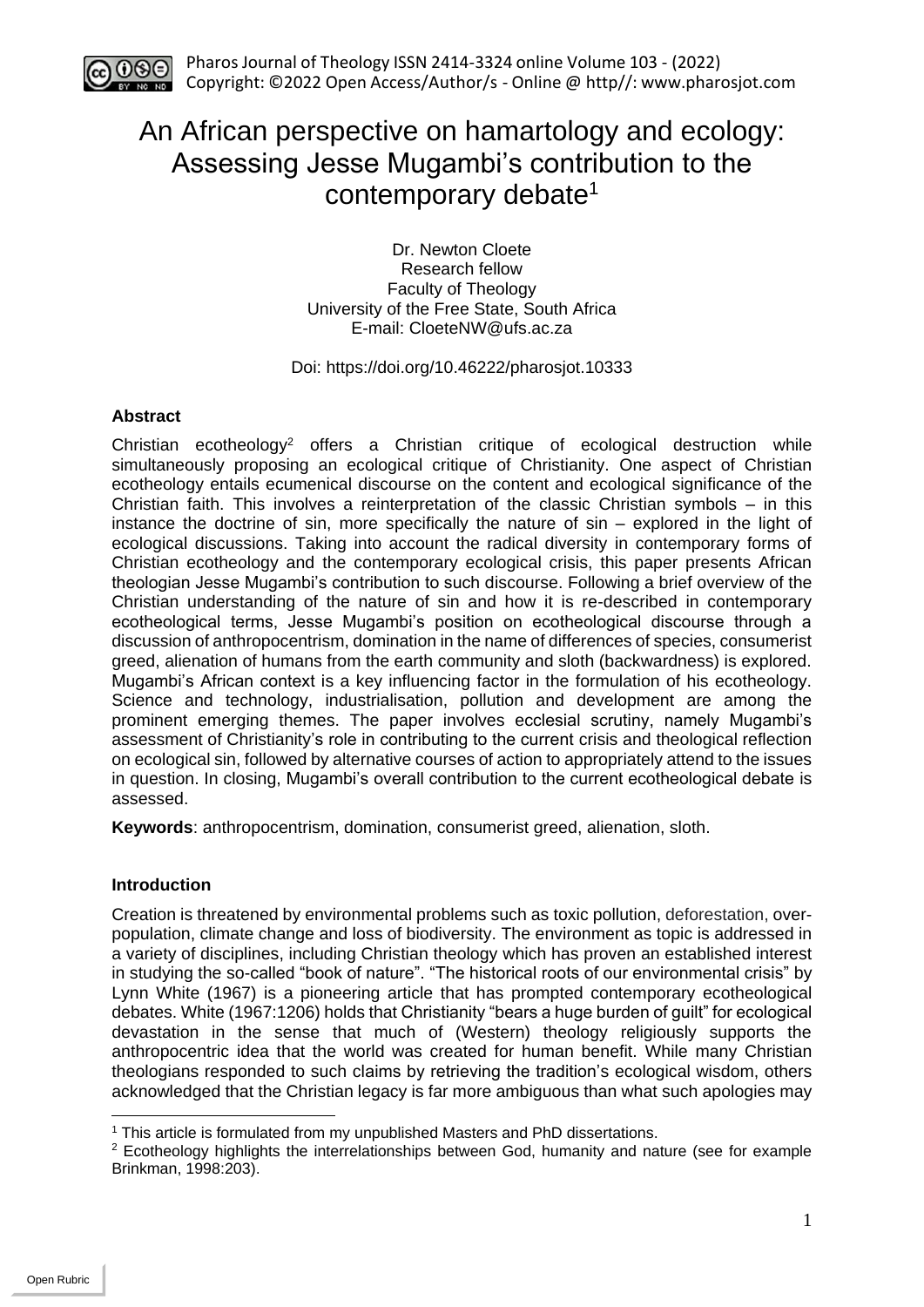

# An African perspective on hamartology and ecology: Assessing Jesse Mugambi's contribution to the contemporary debate<sup>1</sup>

Dr. Newton Cloete Research fellow Faculty of Theology University of the Free State, South Africa E-mail: [CloeteNW@ufs.ac.za](mailto:CloeteNW@ufs.ac.za)

## Doi: https://doi.org/10.46222/pharosjot.10333

## **Abstract**

Christian ecotheology<sup>2</sup> offers a Christian critique of ecological destruction while simultaneously proposing an ecological critique of Christianity. One aspect of Christian ecotheology entails ecumenical discourse on the content and ecological significance of the Christian faith. This involves a reinterpretation of the classic Christian symbols – in this instance the doctrine of sin, more specifically the nature of sin – explored in the light of ecological discussions. Taking into account the radical diversity in contemporary forms of Christian ecotheology and the contemporary ecological crisis, this paper presents African theologian Jesse Mugambi's contribution to such discourse. Following a brief overview of the Christian understanding of the nature of sin and how it is re-described in contemporary ecotheological terms, Jesse Mugambi's position on ecotheological discourse through a discussion of anthropocentrism, domination in the name of differences of species, consumerist greed, alienation of humans from the earth community and sloth (backwardness) is explored. Mugambi's African context is a key influencing factor in the formulation of his ecotheology. Science and technology, industrialisation, pollution and development are among the prominent emerging themes. The paper involves ecclesial scrutiny, namely Mugambi's assessment of Christianity's role in contributing to the current crisis and theological reflection on ecological sin, followed by alternative courses of action to appropriately attend to the issues in question. In closing, Mugambi's overall contribution to the current ecotheological debate is assessed.

**Keywords**: anthropocentrism, domination, consumerist greed, alienation, sloth.

## **Introduction**

Creation is threatened by environmental problems such as toxic pollution, deforestation, overpopulation, climate change and loss of biodiversity. The environment as topic is addressed in a variety of disciplines, including Christian theology which has proven an established interest in studying the so-called "book of nature". "The historical roots of our environmental crisis" by Lynn White (1967) is a pioneering article that has prompted contemporary ecotheological debates. White (1967:1206) holds that Christianity "bears a huge burden of guilt" for ecological devastation in the sense that much of (Western) theology religiously supports the anthropocentric idea that the world was created for human benefit. While many Christian theologians responded to such claims by retrieving the tradition's ecological wisdom, others acknowledged that the Christian legacy is far more ambiguous than what such apologies may

<sup>1</sup> This article is formulated from my unpublished Masters and PhD dissertations.

<sup>&</sup>lt;sup>2</sup> Ecotheology highlights the interrelationships between God, humanity and nature (see for example Brinkman, 1998:203).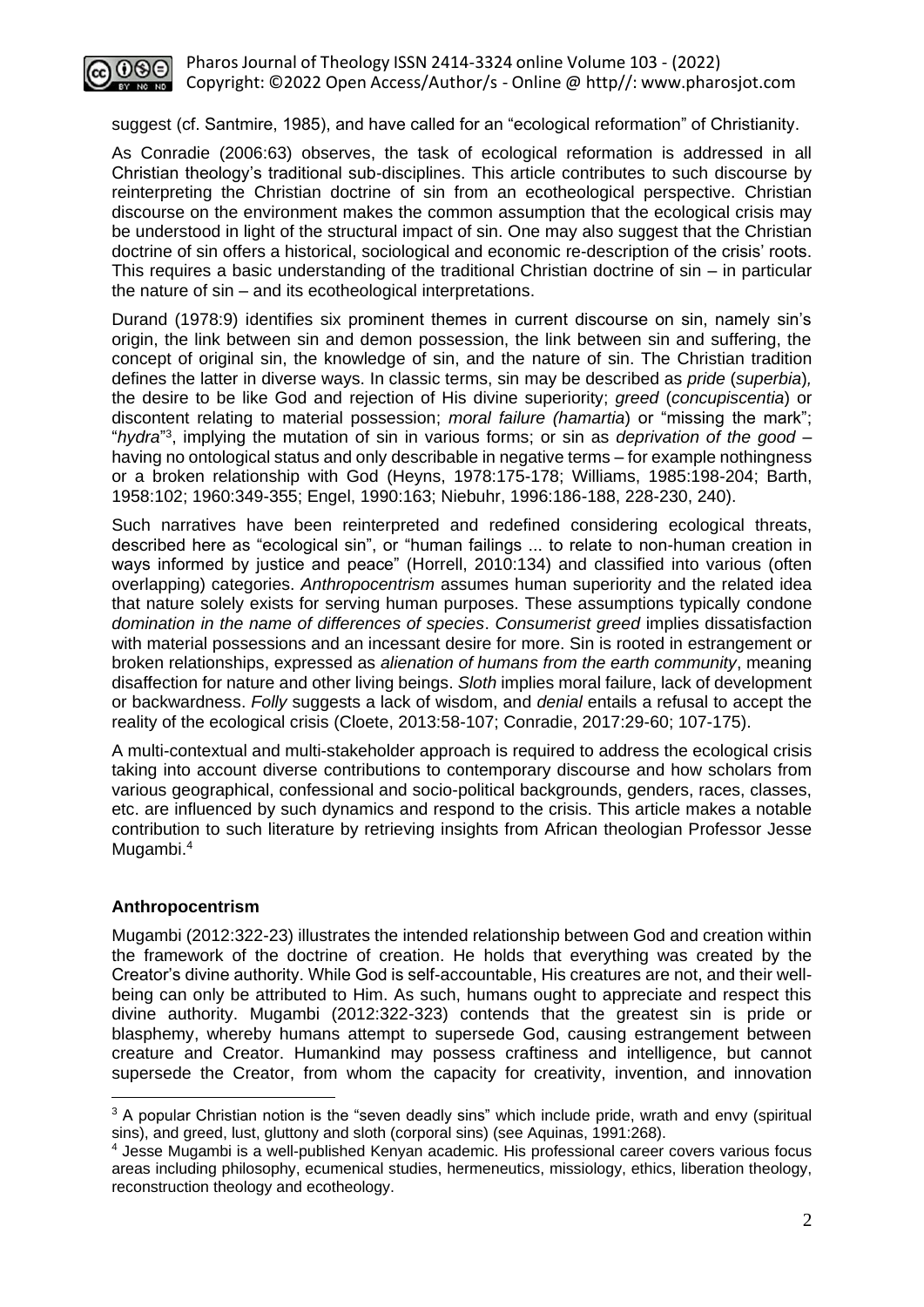

suggest (cf. Santmire, 1985), and have called for an "ecological reformation" of Christianity.

As Conradie (2006:63) observes, the task of ecological reformation is addressed in all Christian theology's traditional sub-disciplines. This article contributes to such discourse by reinterpreting the Christian doctrine of sin from an ecotheological perspective. Christian discourse on the environment makes the common assumption that the ecological crisis may be understood in light of the structural impact of sin. One may also suggest that the Christian doctrine of sin offers a historical, sociological and economic re-description of the crisis' roots. This requires a basic understanding of the traditional Christian doctrine of sin – in particular the nature of sin – and its ecotheological interpretations.

Durand (1978:9) identifies six prominent themes in current discourse on sin, namely sin's origin, the link between sin and demon possession, the link between sin and suffering, the concept of original sin, the knowledge of sin, and the nature of sin. The Christian tradition defines the latter in diverse ways. In classic terms, sin may be described as *pride* (*superbia*)*,*  the desire to be like God and rejection of His divine superiority; *greed* (*concupiscentia*) or discontent relating to material possession; *moral failure (hamartia*) or "missing the mark"; "*hydra*" 3 , implying the mutation of sin in various forms; or sin as *deprivation of the good* – having no ontological status and only describable in negative terms – for example nothingness or a broken relationship with God (Heyns, 1978:175-178; Williams, 1985:198-204; Barth, 1958:102; 1960:349-355; Engel, 1990:163; Niebuhr, 1996:186-188, 228-230, 240).

Such narratives have been reinterpreted and redefined considering ecological threats, described here as "ecological sin", or "human failings ... to relate to non-human creation in ways informed by justice and peace" (Horrell, 2010:134) and classified into various (often overlapping) categories. *Anthropocentrism* assumes human superiority and the related idea that nature solely exists for serving human purposes. These assumptions typically condone *domination in the name of differences of species*. *Consumerist greed* implies dissatisfaction with material possessions and an incessant desire for more. Sin is rooted in estrangement or broken relationships, expressed as *alienation of humans from the earth community*, meaning disaffection for nature and other living beings. *Sloth* implies moral failure, lack of development or backwardness. *Folly* suggests a lack of wisdom, and *denial* entails a refusal to accept the reality of the ecological crisis (Cloete, 2013:58-107; Conradie, 2017:29-60; 107-175).

A multi-contextual and multi-stakeholder approach is required to address the ecological crisis taking into account diverse contributions to contemporary discourse and how scholars from various geographical, confessional and socio-political backgrounds, genders, races, classes, etc. are influenced by such dynamics and respond to the crisis. This article makes a notable contribution to such literature by retrieving insights from African theologian Professor Jesse Mugambi. 4

#### **Anthropocentrism**

Mugambi (2012:322-23) illustrates the intended relationship between God and creation within the framework of the doctrine of creation. He holds that everything was created by the Creator's divine authority. While God is self-accountable, His creatures are not, and their wellbeing can only be attributed to Him. As such, humans ought to appreciate and respect this divine authority. Mugambi (2012:322-323) contends that the greatest sin is pride or blasphemy, whereby humans attempt to supersede God, causing estrangement between creature and Creator. Humankind may possess craftiness and intelligence, but cannot supersede the Creator, from whom the capacity for creativity, invention, and innovation

<sup>&</sup>lt;sup>3</sup> A popular Christian notion is the "seven deadly sins" which include pride, wrath and envy (spiritual sins), and greed, lust, gluttony and sloth (corporal sins) (see Aquinas, 1991:268).

<sup>4</sup> Jesse Mugambi is a well-published Kenyan academic. His professional career covers various focus areas including philosophy, ecumenical studies, hermeneutics, missiology, ethics, liberation theology, reconstruction theology and ecotheology.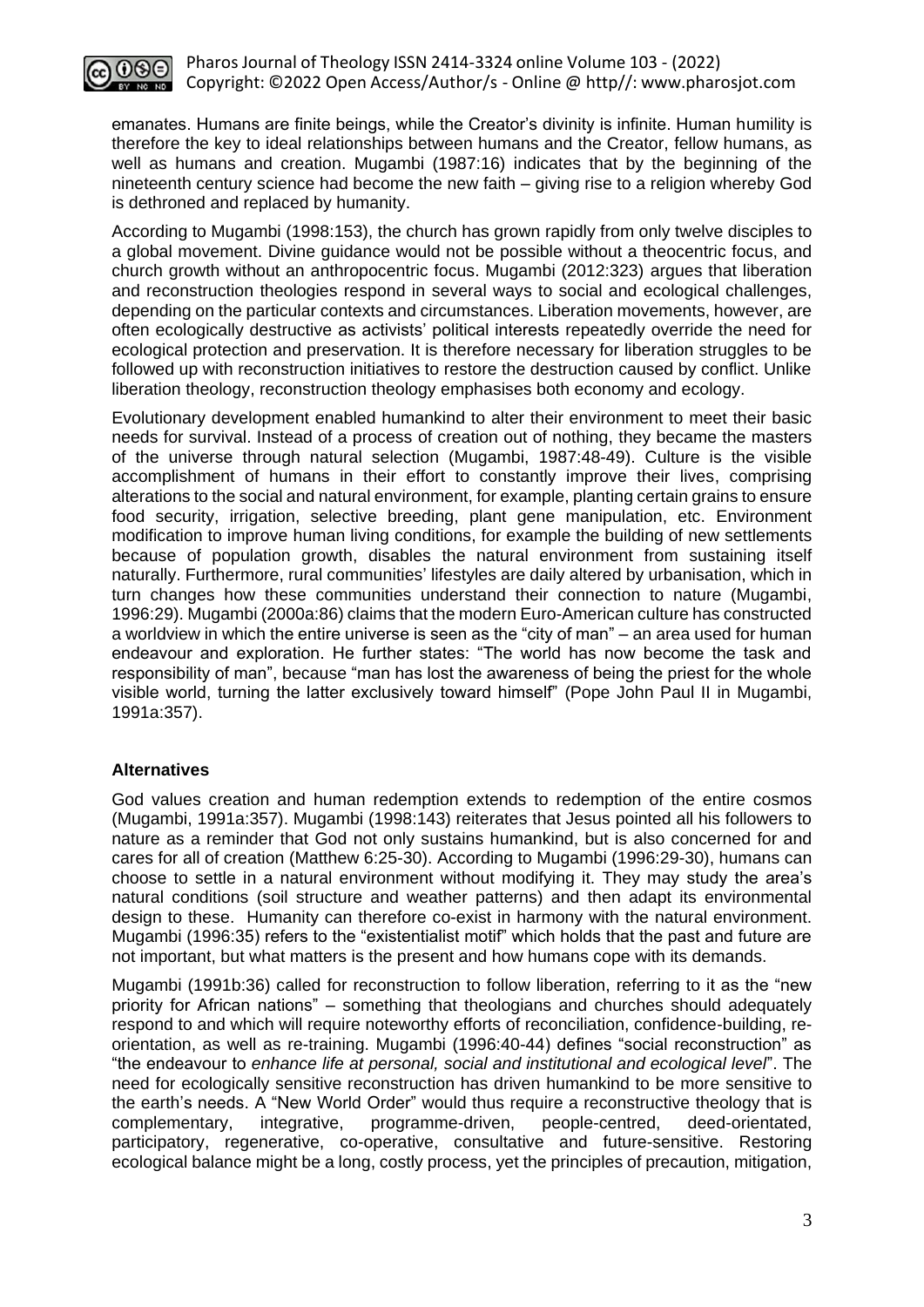

emanates. Humans are finite beings, while the Creator's divinity is infinite. Human humility is therefore the key to ideal relationships between humans and the Creator, fellow humans, as well as humans and creation. Mugambi (1987:16) indicates that by the beginning of the nineteenth century science had become the new faith – giving rise to a religion whereby God is dethroned and replaced by humanity.

According to Mugambi (1998:153), the church has grown rapidly from only twelve disciples to a global movement. Divine guidance would not be possible without a theocentric focus, and church growth without an anthropocentric focus. Mugambi (2012:323) argues that liberation and reconstruction theologies respond in several ways to social and ecological challenges, depending on the particular contexts and circumstances. Liberation movements, however, are often ecologically destructive as activists' political interests repeatedly override the need for ecological protection and preservation. It is therefore necessary for liberation struggles to be followed up with reconstruction initiatives to restore the destruction caused by conflict. Unlike liberation theology, reconstruction theology emphasises both economy and ecology.

Evolutionary development enabled humankind to alter their environment to meet their basic needs for survival. Instead of a process of creation out of nothing, they became the masters of the universe through natural selection (Mugambi, 1987:48-49). Culture is the visible accomplishment of humans in their effort to constantly improve their lives, comprising alterations to the social and natural environment, for example, planting certain grains to ensure food security, irrigation, selective breeding, plant gene manipulation, etc. Environment modification to improve human living conditions, for example the building of new settlements because of population growth, disables the natural environment from sustaining itself naturally. Furthermore, rural communities' lifestyles are daily altered by urbanisation, which in turn changes how these communities understand their connection to nature (Mugambi, 1996:29). Mugambi (2000a:86) claims that the modern Euro-American culture has constructed a worldview in which the entire universe is seen as the "city of man" – an area used for human endeavour and exploration. He further states: "The world has now become the task and responsibility of man", because "man has lost the awareness of being the priest for the whole visible world, turning the latter exclusively toward himself" (Pope John Paul II in Mugambi, 1991a:357).

## **Alternatives**

God values creation and human redemption extends to redemption of the entire cosmos (Mugambi, 1991a:357). Mugambi (1998:143) reiterates that Jesus pointed all his followers to nature as a reminder that God not only sustains humankind, but is also concerned for and cares for all of creation (Matthew 6:25-30). According to Mugambi (1996:29-30), humans can choose to settle in a natural environment without modifying it. They may study the area's natural conditions (soil structure and weather patterns) and then adapt its environmental design to these. Humanity can therefore co-exist in harmony with the natural environment. Mugambi (1996:35) refers to the "existentialist motif" which holds that the past and future are not important, but what matters is the present and how humans cope with its demands.

Mugambi (1991b:36) called for reconstruction to follow liberation, referring to it as the "new priority for African nations" – something that theologians and churches should adequately respond to and which will require noteworthy efforts of reconciliation, confidence-building, reorientation, as well as re-training. Mugambi (1996:40-44) defines "social reconstruction" as "the endeavour to *enhance life at personal, social and institutional and ecological level*". The need for ecologically sensitive reconstruction has driven humankind to be more sensitive to the earth's needs. A "New World Order" would thus require a reconstructive theology that is complementary, integrative, programme-driven, people-centred, deed-orientated, participatory, regenerative, co-operative, consultative and future-sensitive. Restoring ecological balance might be a long, costly process, yet the principles of precaution, mitigation,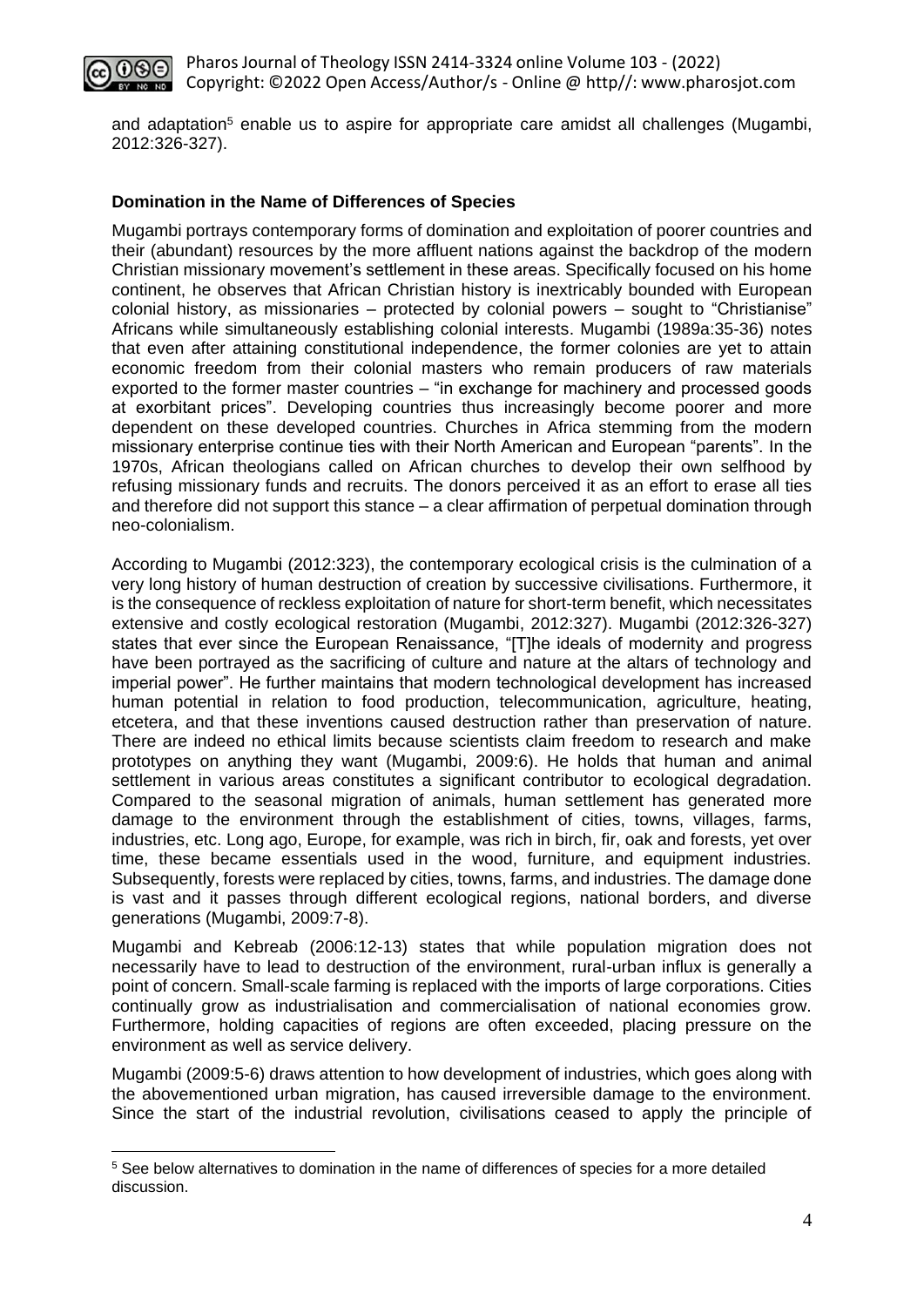

and adaptation<sup>5</sup> enable us to aspire for appropriate care amidst all challenges (Mugambi, 2012:326-327).

#### **Domination in the Name of Differences of Species**

Mugambi portrays contemporary forms of domination and exploitation of poorer countries and their (abundant) resources by the more affluent nations against the backdrop of the modern Christian missionary movement's settlement in these areas. Specifically focused on his home continent, he observes that African Christian history is inextricably bounded with European colonial history, as missionaries – protected by colonial powers – sought to "Christianise" Africans while simultaneously establishing colonial interests. Mugambi (1989a:35-36) notes that even after attaining constitutional independence, the former colonies are yet to attain economic freedom from their colonial masters who remain producers of raw materials exported to the former master countries – "in exchange for machinery and processed goods at exorbitant prices". Developing countries thus increasingly become poorer and more dependent on these developed countries. Churches in Africa stemming from the modern missionary enterprise continue ties with their North American and European "parents". In the 1970s, African theologians called on African churches to develop their own selfhood by refusing missionary funds and recruits. The donors perceived it as an effort to erase all ties and therefore did not support this stance – a clear affirmation of perpetual domination through neo-colonialism.

According to Mugambi (2012:323), the contemporary ecological crisis is the culmination of a very long history of human destruction of creation by successive civilisations. Furthermore, it is the consequence of reckless exploitation of nature for short-term benefit, which necessitates extensive and costly ecological restoration (Mugambi, 2012:327). Mugambi (2012:326-327) states that ever since the European Renaissance, "[T]he ideals of modernity and progress have been portrayed as the sacrificing of culture and nature at the altars of technology and imperial power". He further maintains that modern technological development has increased human potential in relation to food production, telecommunication, agriculture, heating, etcetera, and that these inventions caused destruction rather than preservation of nature. There are indeed no ethical limits because scientists claim freedom to research and make prototypes on anything they want (Mugambi, 2009:6). He holds that human and animal settlement in various areas constitutes a significant contributor to ecological degradation. Compared to the seasonal migration of animals, human settlement has generated more damage to the environment through the establishment of cities, towns, villages, farms, industries, etc. Long ago, Europe, for example, was rich in birch, fir, oak and forests, yet over time, these became essentials used in the wood, furniture, and equipment industries. Subsequently, forests were replaced by cities, towns, farms, and industries. The damage done is vast and it passes through different ecological regions, national borders, and diverse generations (Mugambi, 2009:7-8).

Mugambi and Kebreab (2006:12-13) states that while population migration does not necessarily have to lead to destruction of the environment, rural-urban influx is generally a point of concern. Small-scale farming is replaced with the imports of large corporations. Cities continually grow as industrialisation and commercialisation of national economies grow. Furthermore, holding capacities of regions are often exceeded, placing pressure on the environment as well as service delivery.

Mugambi (2009:5-6) draws attention to how development of industries, which goes along with the abovementioned urban migration, has caused irreversible damage to the environment. Since the start of the industrial revolution, civilisations ceased to apply the principle of

<sup>&</sup>lt;sup>5</sup> See below alternatives to domination in the name of differences of species for a more detailed discussion.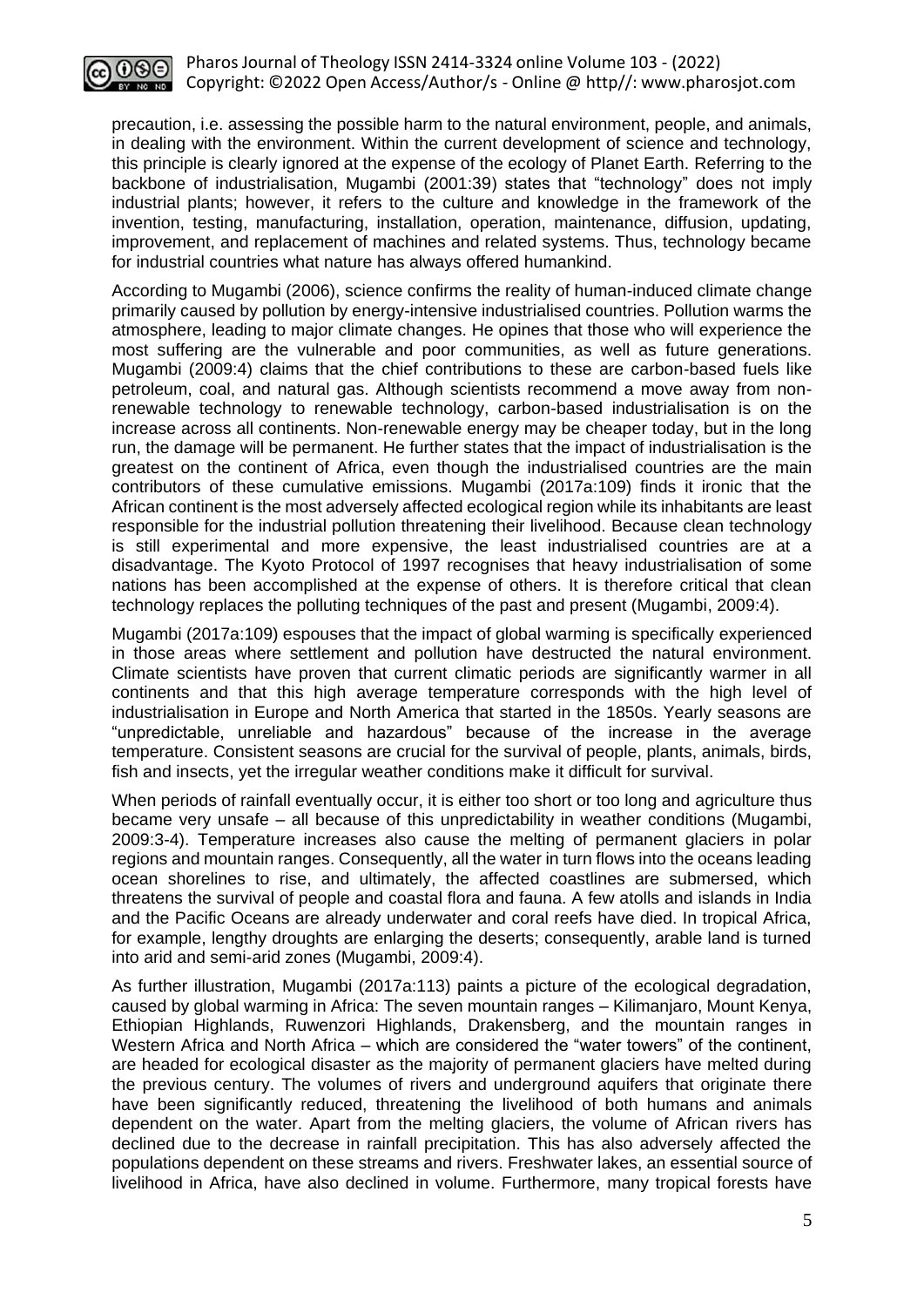

precaution, i.e. assessing the possible harm to the natural environment, people, and animals, in dealing with the environment. Within the current development of science and technology, this principle is clearly ignored at the expense of the ecology of Planet Earth. Referring to the backbone of industrialisation, Mugambi (2001:39) states that "technology" does not imply industrial plants; however, it refers to the culture and knowledge in the framework of the invention, testing, manufacturing, installation, operation, maintenance, diffusion, updating, improvement, and replacement of machines and related systems. Thus, technology became for industrial countries what nature has always offered humankind.

According to Mugambi (2006), science confirms the reality of human-induced climate change primarily caused by pollution by energy-intensive industrialised countries. Pollution warms the atmosphere, leading to major climate changes. He opines that those who will experience the most suffering are the vulnerable and poor communities, as well as future generations. Mugambi (2009:4) claims that the chief contributions to these are carbon-based fuels like petroleum, coal, and natural gas. Although scientists recommend a move away from nonrenewable technology to renewable technology, carbon-based industrialisation is on the increase across all continents. Non-renewable energy may be cheaper today, but in the long run, the damage will be permanent. He further states that the impact of industrialisation is the greatest on the continent of Africa, even though the industrialised countries are the main contributors of these cumulative emissions. Mugambi (2017a:109) finds it ironic that the African continent is the most adversely affected ecological region while its inhabitants are least responsible for the industrial pollution threatening their livelihood. Because clean technology is still experimental and more expensive, the least industrialised countries are at a disadvantage. The Kyoto Protocol of 1997 recognises that heavy industrialisation of some nations has been accomplished at the expense of others. It is therefore critical that clean technology replaces the polluting techniques of the past and present (Mugambi, 2009:4).

Mugambi (2017a:109) espouses that the impact of global warming is specifically experienced in those areas where settlement and pollution have destructed the natural environment. Climate scientists have proven that current climatic periods are significantly warmer in all continents and that this high average temperature corresponds with the high level of industrialisation in Europe and North America that started in the 1850s. Yearly seasons are "unpredictable, unreliable and hazardous" because of the increase in the average temperature. Consistent seasons are crucial for the survival of people, plants, animals, birds, fish and insects, yet the irregular weather conditions make it difficult for survival.

When periods of rainfall eventually occur, it is either too short or too long and agriculture thus became very unsafe – all because of this unpredictability in weather conditions (Mugambi, 2009:3-4). Temperature increases also cause the melting of permanent glaciers in polar regions and mountain ranges. Consequently, all the water in turn flows into the oceans leading ocean shorelines to rise, and ultimately, the affected coastlines are submersed, which threatens the survival of people and coastal flora and fauna. A few atolls and islands in India and the Pacific Oceans are already underwater and coral reefs have died. In tropical Africa, for example, lengthy droughts are enlarging the deserts; consequently, arable land is turned into arid and semi-arid zones (Mugambi, 2009:4).

As further illustration, Mugambi (2017a:113) paints a picture of the ecological degradation, caused by global warming in Africa: The seven mountain ranges – Kilimanjaro, Mount Kenya, Ethiopian Highlands, Ruwenzori Highlands, Drakensberg, and the mountain ranges in Western Africa and North Africa – which are considered the "water towers" of the continent, are headed for ecological disaster as the majority of permanent glaciers have melted during the previous century. The volumes of rivers and underground aquifers that originate there have been significantly reduced, threatening the livelihood of both humans and animals dependent on the water. Apart from the melting glaciers, the volume of African rivers has declined due to the decrease in rainfall precipitation. This has also adversely affected the populations dependent on these streams and rivers. Freshwater lakes, an essential source of livelihood in Africa, have also declined in volume. Furthermore, many tropical forests have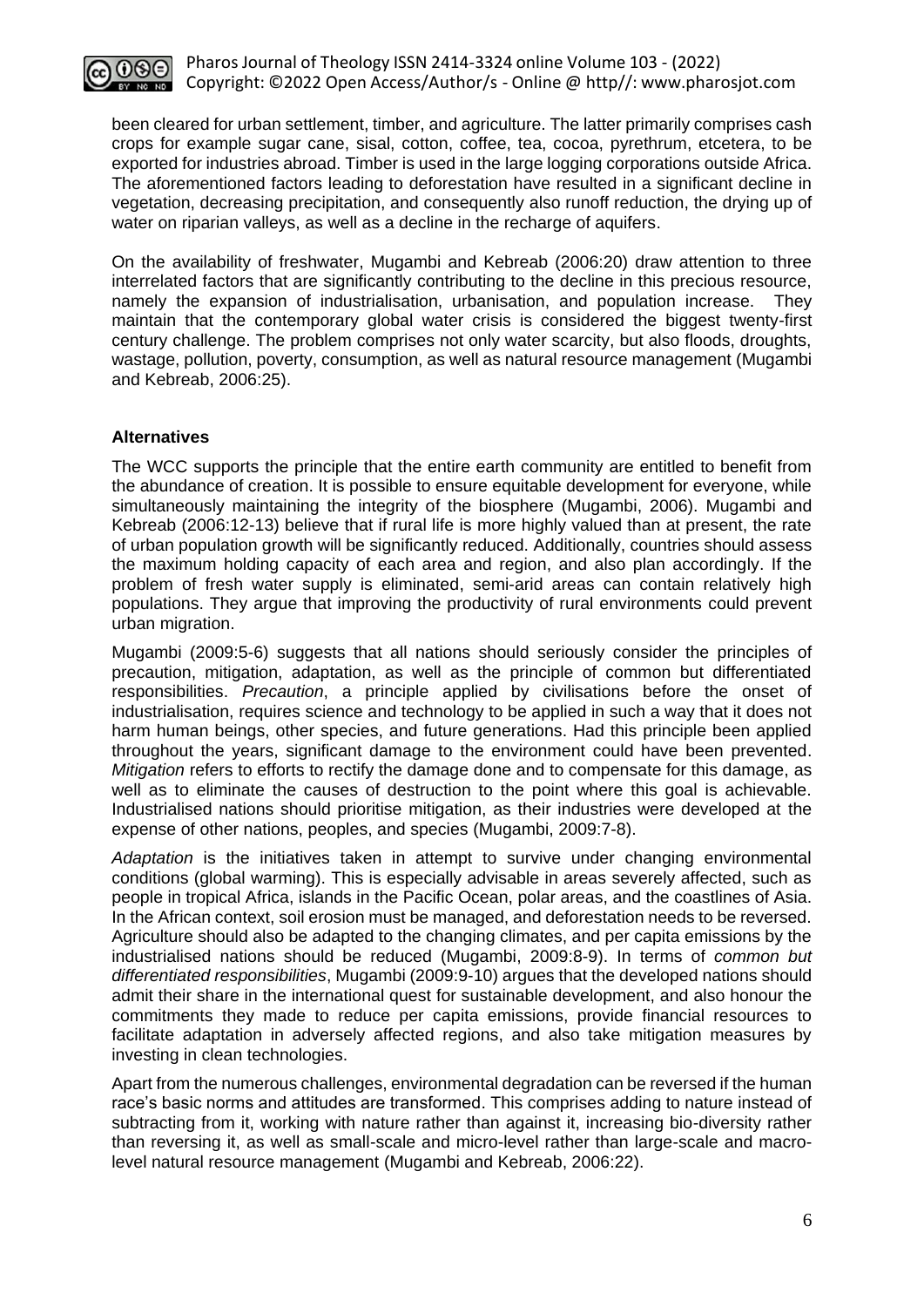

been cleared for urban settlement, timber, and agriculture. The latter primarily comprises cash crops for example sugar cane, sisal, cotton, coffee, tea, cocoa, pyrethrum, etcetera, to be exported for industries abroad. Timber is used in the large logging corporations outside Africa. The aforementioned factors leading to deforestation have resulted in a significant decline in vegetation, decreasing precipitation, and consequently also runoff reduction, the drying up of water on riparian valleys, as well as a decline in the recharge of aquifers.

On the availability of freshwater, Mugambi and Kebreab (2006:20) draw attention to three interrelated factors that are significantly contributing to the decline in this precious resource, namely the expansion of industrialisation, urbanisation, and population increase. They maintain that the contemporary global water crisis is considered the biggest twenty-first century challenge. The problem comprises not only water scarcity, but also floods, droughts, wastage, pollution, poverty, consumption, as well as natural resource management (Mugambi and Kebreab, 2006:25).

## **Alternatives**

The WCC supports the principle that the entire earth community are entitled to benefit from the abundance of creation. It is possible to ensure equitable development for everyone, while simultaneously maintaining the integrity of the biosphere (Mugambi, 2006). Mugambi and Kebreab (2006:12-13) believe that if rural life is more highly valued than at present, the rate of urban population growth will be significantly reduced. Additionally, countries should assess the maximum holding capacity of each area and region, and also plan accordingly. If the problem of fresh water supply is eliminated, semi-arid areas can contain relatively high populations. They argue that improving the productivity of rural environments could prevent urban migration.

Mugambi (2009:5-6) suggests that all nations should seriously consider the principles of precaution, mitigation, adaptation, as well as the principle of common but differentiated responsibilities. *Precaution*, a principle applied by civilisations before the onset of industrialisation, requires science and technology to be applied in such a way that it does not harm human beings, other species, and future generations. Had this principle been applied throughout the years, significant damage to the environment could have been prevented. *Mitigation* refers to efforts to rectify the damage done and to compensate for this damage, as well as to eliminate the causes of destruction to the point where this goal is achievable. Industrialised nations should prioritise mitigation, as their industries were developed at the expense of other nations, peoples, and species (Mugambi, 2009:7-8).

*Adaptation* is the initiatives taken in attempt to survive under changing environmental conditions (global warming). This is especially advisable in areas severely affected, such as people in tropical Africa, islands in the Pacific Ocean, polar areas, and the coastlines of Asia. In the African context, soil erosion must be managed, and deforestation needs to be reversed. Agriculture should also be adapted to the changing climates, and per capita emissions by the industrialised nations should be reduced (Mugambi, 2009:8-9). In terms of *common but differentiated responsibilities*, Mugambi (2009:9-10) argues that the developed nations should admit their share in the international quest for sustainable development, and also honour the commitments they made to reduce per capita emissions, provide financial resources to facilitate adaptation in adversely affected regions, and also take mitigation measures by investing in clean technologies.

Apart from the numerous challenges, environmental degradation can be reversed if the human race's basic norms and attitudes are transformed. This comprises adding to nature instead of subtracting from it, working with nature rather than against it, increasing bio-diversity rather than reversing it, as well as small-scale and micro-level rather than large-scale and macrolevel natural resource management (Mugambi and Kebreab, 2006:22).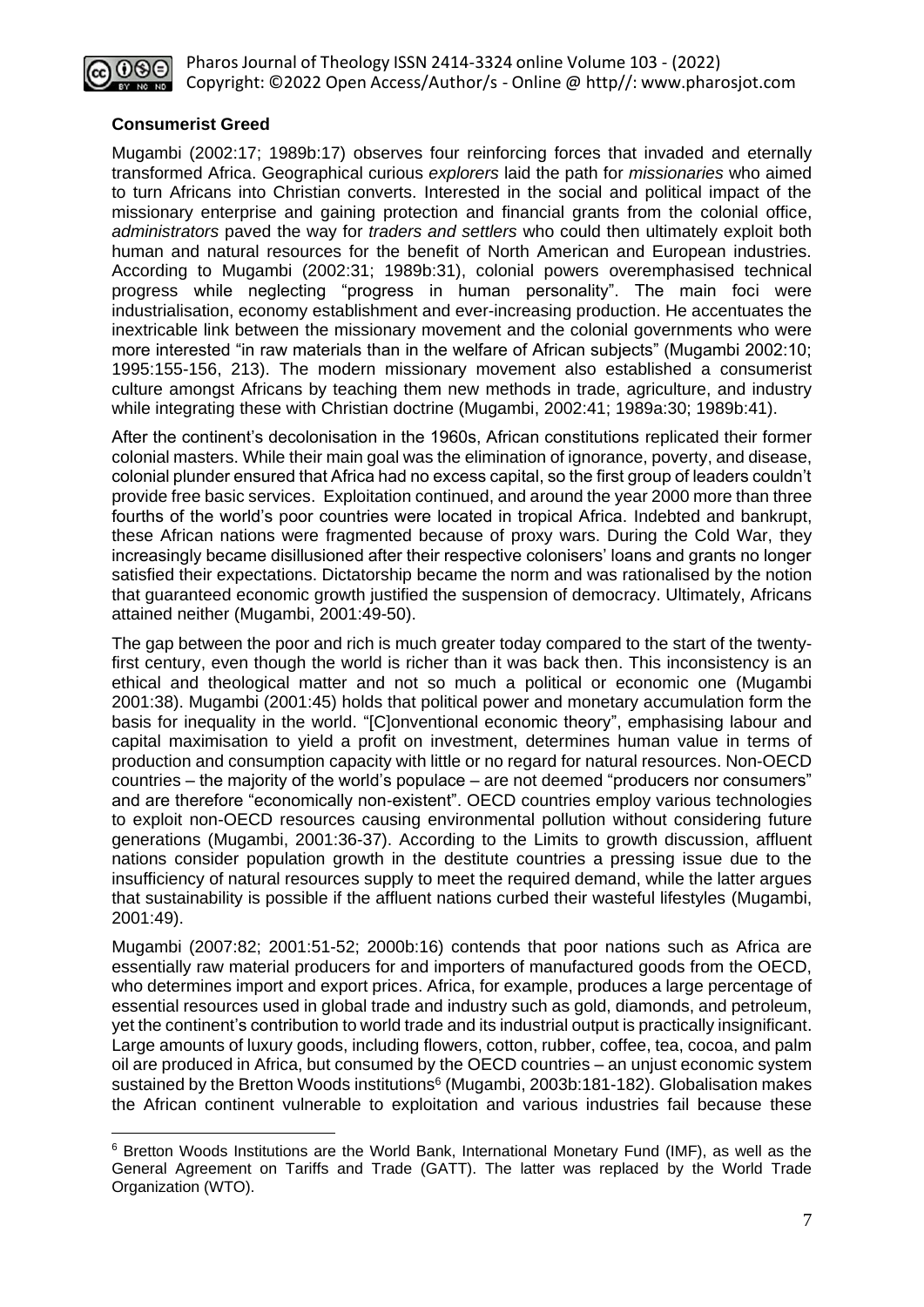

## **Consumerist Greed**

Mugambi (2002:17; 1989b:17) observes four reinforcing forces that invaded and eternally transformed Africa. Geographical curious *explorers* laid the path for *missionaries* who aimed to turn Africans into Christian converts. Interested in the social and political impact of the missionary enterprise and gaining protection and financial grants from the colonial office, *administrators* paved the way for *traders and settlers* who could then ultimately exploit both human and natural resources for the benefit of North American and European industries. According to Mugambi (2002:31; 1989b:31), colonial powers overemphasised technical progress while neglecting "progress in human personality". The main foci were industrialisation, economy establishment and ever-increasing production. He accentuates the inextricable link between the missionary movement and the colonial governments who were more interested "in raw materials than in the welfare of African subjects" (Mugambi 2002:10; 1995:155-156, 213). The modern missionary movement also established a consumerist culture amongst Africans by teaching them new methods in trade, agriculture, and industry while integrating these with Christian doctrine (Mugambi, 2002:41; 1989a:30; 1989b:41).

After the continent's decolonisation in the 1960s, African constitutions replicated their former colonial masters. While their main goal was the elimination of ignorance, poverty, and disease, colonial plunder ensured that Africa had no excess capital, so the first group of leaders couldn't provide free basic services. Exploitation continued, and around the year 2000 more than three fourths of the world's poor countries were located in tropical Africa. Indebted and bankrupt, these African nations were fragmented because of proxy wars. During the Cold War, they increasingly became disillusioned after their respective colonisers' loans and grants no longer satisfied their expectations. Dictatorship became the norm and was rationalised by the notion that guaranteed economic growth justified the suspension of democracy. Ultimately, Africans attained neither (Mugambi, 2001:49-50).

The gap between the poor and rich is much greater today compared to the start of the twentyfirst century, even though the world is richer than it was back then. This inconsistency is an ethical and theological matter and not so much a political or economic one (Mugambi 2001:38). Mugambi (2001:45) holds that political power and monetary accumulation form the basis for inequality in the world. "[C]onventional economic theory", emphasising labour and capital maximisation to yield a profit on investment, determines human value in terms of production and consumption capacity with little or no regard for natural resources. Non-OECD countries – the majority of the world's populace – are not deemed "producers nor consumers" and are therefore "economically non-existent". OECD countries employ various technologies to exploit non-OECD resources causing environmental pollution without considering future generations (Mugambi, 2001:36-37). According to the Limits to growth discussion, affluent nations consider population growth in the destitute countries a pressing issue due to the insufficiency of natural resources supply to meet the required demand, while the latter argues that sustainability is possible if the affluent nations curbed their wasteful lifestyles (Mugambi, 2001:49).

Mugambi (2007:82; 2001:51-52; 2000b:16) contends that poor nations such as Africa are essentially raw material producers for and importers of manufactured goods from the OECD, who determines import and export prices. Africa, for example, produces a large percentage of essential resources used in global trade and industry such as gold, diamonds, and petroleum, yet the continent's contribution to world trade and its industrial output is practically insignificant. Large amounts of luxury goods, including flowers, cotton, rubber, coffee, tea, cocoa, and palm oil are produced in Africa, but consumed by the OECD countries – an unjust economic system sustained by the Bretton Woods institutions<sup>6</sup> (Mugambi, 2003b:181-182). Globalisation makes the African continent vulnerable to exploitation and various industries fail because these

<sup>6</sup> Bretton Woods Institutions are the World Bank, International Monetary Fund (IMF), as well as the General Agreement on Tariffs and Trade (GATT). The latter was replaced by the World Trade Organization (WTO).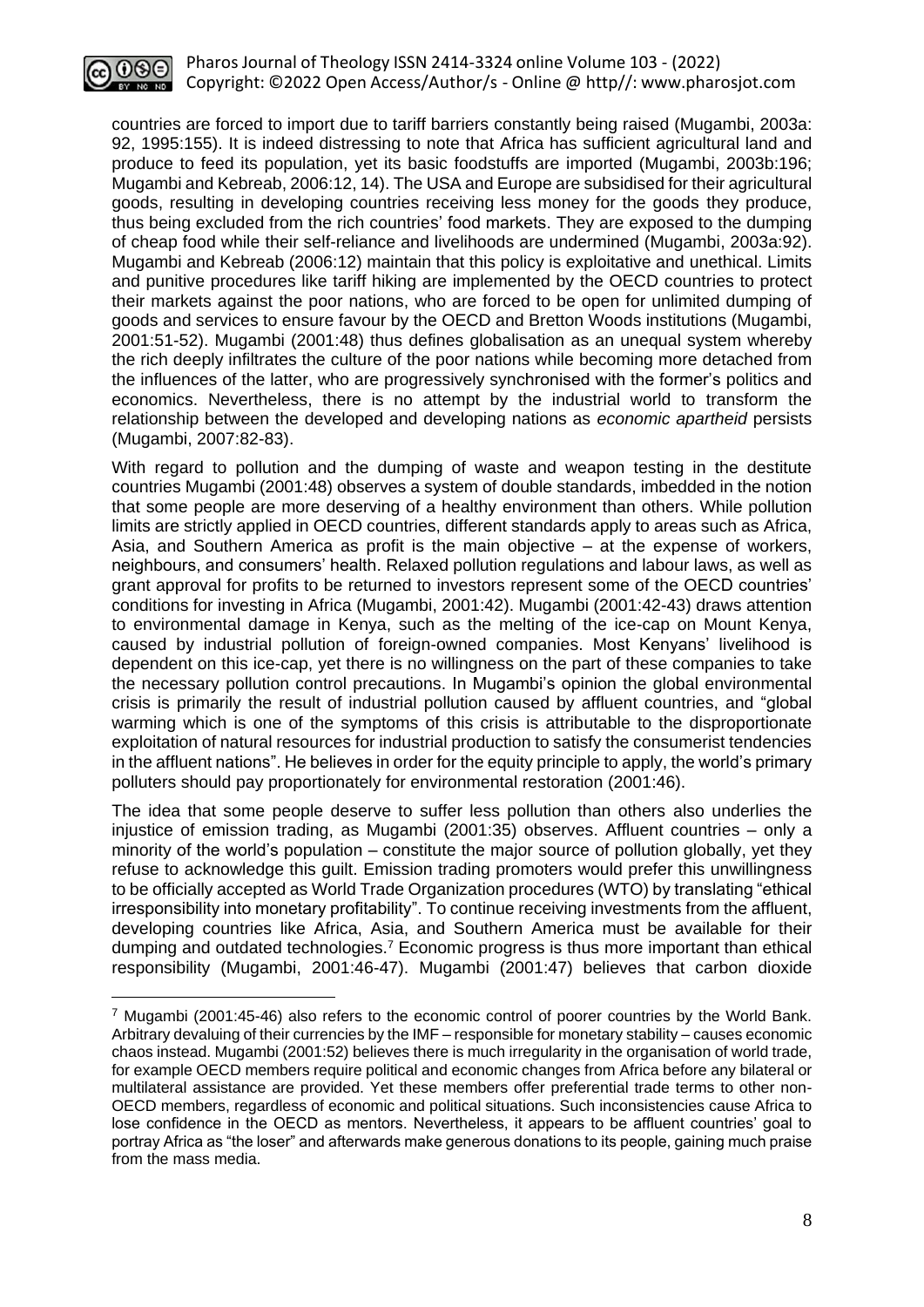

countries are forced to import due to tariff barriers constantly being raised (Mugambi, 2003a: 92, 1995:155). It is indeed distressing to note that Africa has sufficient agricultural land and produce to feed its population, yet its basic foodstuffs are imported (Mugambi, 2003b:196; Mugambi and Kebreab, 2006:12, 14). The USA and Europe are subsidised for their agricultural goods, resulting in developing countries receiving less money for the goods they produce, thus being excluded from the rich countries' food markets. They are exposed to the dumping of cheap food while their self-reliance and livelihoods are undermined (Mugambi, 2003a:92). Mugambi and Kebreab (2006:12) maintain that this policy is exploitative and unethical. Limits and punitive procedures like tariff hiking are implemented by the OECD countries to protect their markets against the poor nations, who are forced to be open for unlimited dumping of goods and services to ensure favour by the OECD and Bretton Woods institutions (Mugambi, 2001:51-52). Mugambi (2001:48) thus defines globalisation as an unequal system whereby the rich deeply infiltrates the culture of the poor nations while becoming more detached from the influences of the latter, who are progressively synchronised with the former's politics and economics. Nevertheless, there is no attempt by the industrial world to transform the relationship between the developed and developing nations as *economic apartheid* persists (Mugambi, 2007:82-83).

With regard to pollution and the dumping of waste and weapon testing in the destitute countries Mugambi (2001:48) observes a system of double standards, imbedded in the notion that some people are more deserving of a healthy environment than others. While pollution limits are strictly applied in OECD countries, different standards apply to areas such as Africa, Asia, and Southern America as profit is the main objective – at the expense of workers, neighbours, and consumers' health. Relaxed pollution regulations and labour laws, as well as grant approval for profits to be returned to investors represent some of the OECD countries' conditions for investing in Africa (Mugambi, 2001:42). Mugambi (2001:42-43) draws attention to environmental damage in Kenya, such as the melting of the ice-cap on Mount Kenya, caused by industrial pollution of foreign-owned companies. Most Kenyans' livelihood is dependent on this ice-cap, yet there is no willingness on the part of these companies to take the necessary pollution control precautions. In Mugambi's opinion the global environmental crisis is primarily the result of industrial pollution caused by affluent countries, and "global warming which is one of the symptoms of this crisis is attributable to the disproportionate exploitation of natural resources for industrial production to satisfy the consumerist tendencies in the affluent nations". He believes in order for the equity principle to apply, the world's primary polluters should pay proportionately for environmental restoration (2001:46).

The idea that some people deserve to suffer less pollution than others also underlies the injustice of emission trading, as Mugambi (2001:35) observes. Affluent countries – only a minority of the world's population – constitute the major source of pollution globally, yet they refuse to acknowledge this guilt. Emission trading promoters would prefer this unwillingness to be officially accepted as World Trade Organization procedures (WTO) by translating "ethical irresponsibility into monetary profitability". To continue receiving investments from the affluent, developing countries like Africa, Asia, and Southern America must be available for their dumping and outdated technologies.<sup>7</sup> Economic progress is thus more important than ethical responsibility (Mugambi, 2001:46-47). Mugambi (2001:47) believes that carbon dioxide

 $<sup>7</sup>$  Mugambi (2001:45-46) also refers to the economic control of poorer countries by the World Bank.</sup> Arbitrary devaluing of their currencies by the IMF – responsible for monetary stability – causes economic chaos instead. Mugambi (2001:52) believes there is much irregularity in the organisation of world trade, for example OECD members require political and economic changes from Africa before any bilateral or multilateral assistance are provided. Yet these members offer preferential trade terms to other non-OECD members, regardless of economic and political situations. Such inconsistencies cause Africa to lose confidence in the OECD as mentors. Nevertheless, it appears to be affluent countries' goal to portray Africa as "the loser" and afterwards make generous donations to its people, gaining much praise from the mass media.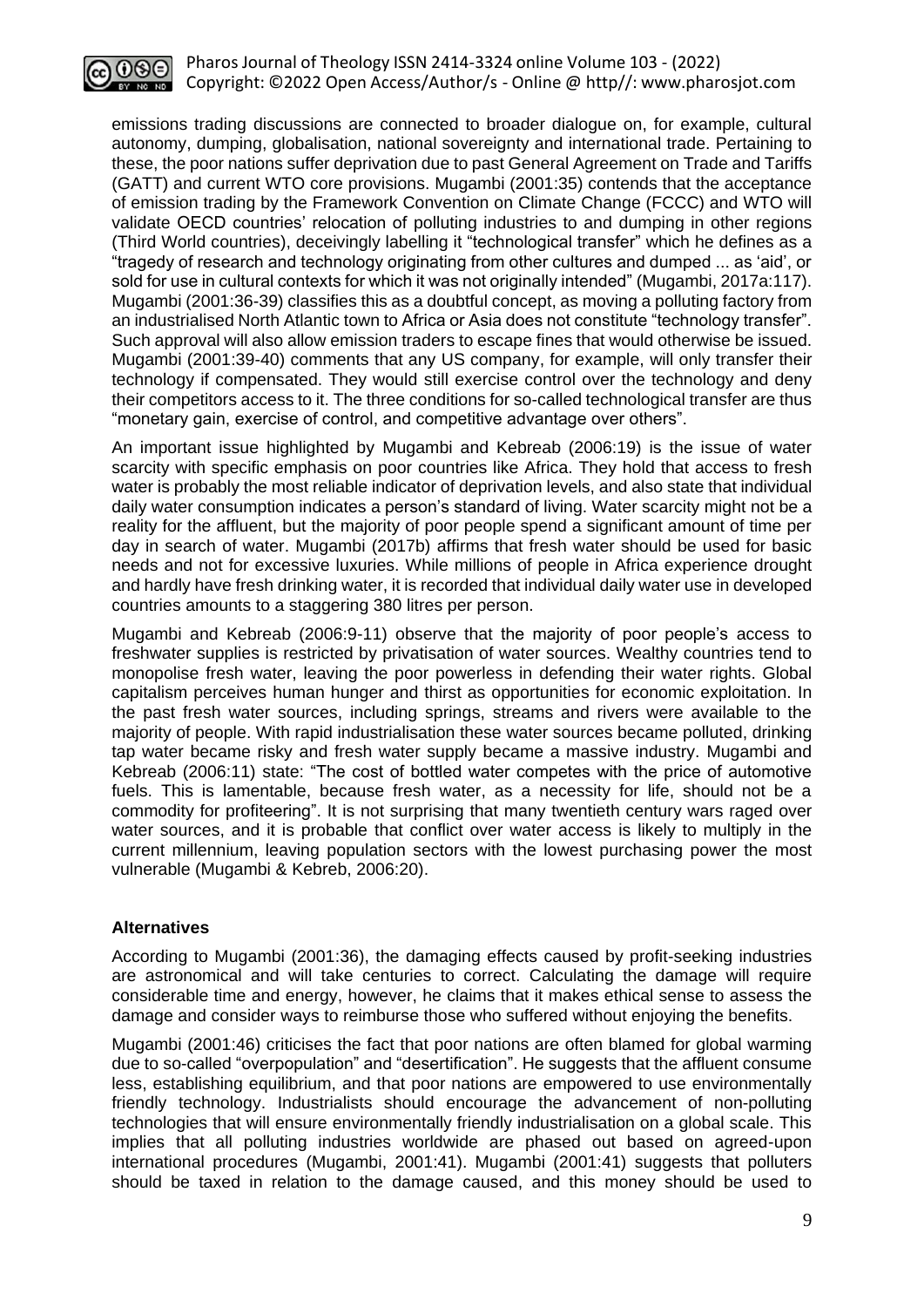

emissions trading discussions are connected to broader dialogue on, for example, cultural autonomy, dumping, globalisation, national sovereignty and international trade. Pertaining to these, the poor nations suffer deprivation due to past General Agreement on Trade and Tariffs (GATT) and current WTO core provisions. Mugambi (2001:35) contends that the acceptance of emission trading by the Framework Convention on Climate Change (FCCC) and WTO will validate OECD countries' relocation of polluting industries to and dumping in other regions (Third World countries), deceivingly labelling it "technological transfer" which he defines as a "tragedy of research and technology originating from other cultures and dumped ... as 'aid', or sold for use in cultural contexts for which it was not originally intended" (Mugambi, 2017a:117). Mugambi (2001:36-39) classifies this as a doubtful concept, as moving a polluting factory from an industrialised North Atlantic town to Africa or Asia does not constitute "technology transfer". Such approval will also allow emission traders to escape fines that would otherwise be issued. Mugambi (2001:39-40) comments that any US company, for example, will only transfer their technology if compensated. They would still exercise control over the technology and deny their competitors access to it. The three conditions for so-called technological transfer are thus "monetary gain, exercise of control, and competitive advantage over others".

An important issue highlighted by Mugambi and Kebreab (2006:19) is the issue of water scarcity with specific emphasis on poor countries like Africa. They hold that access to fresh water is probably the most reliable indicator of deprivation levels, and also state that individual daily water consumption indicates a person's standard of living. Water scarcity might not be a reality for the affluent, but the majority of poor people spend a significant amount of time per day in search of water. Mugambi (2017b) affirms that fresh water should be used for basic needs and not for excessive luxuries. While millions of people in Africa experience drought and hardly have fresh drinking water, it is recorded that individual daily water use in developed countries amounts to a staggering 380 litres per person.

Mugambi and Kebreab (2006:9-11) observe that the majority of poor people's access to freshwater supplies is restricted by privatisation of water sources. Wealthy countries tend to monopolise fresh water, leaving the poor powerless in defending their water rights. Global capitalism perceives human hunger and thirst as opportunities for economic exploitation. In the past fresh water sources, including springs, streams and rivers were available to the majority of people. With rapid industrialisation these water sources became polluted, drinking tap water became risky and fresh water supply became a massive industry. Mugambi and Kebreab (2006:11) state: "The cost of bottled water competes with the price of automotive fuels. This is lamentable, because fresh water, as a necessity for life, should not be a commodity for profiteering". It is not surprising that many twentieth century wars raged over water sources, and it is probable that conflict over water access is likely to multiply in the current millennium, leaving population sectors with the lowest purchasing power the most vulnerable (Mugambi & Kebreb, 2006:20).

#### **Alternatives**

According to Mugambi (2001:36), the damaging effects caused by profit-seeking industries are astronomical and will take centuries to correct. Calculating the damage will require considerable time and energy, however, he claims that it makes ethical sense to assess the damage and consider ways to reimburse those who suffered without enjoying the benefits.

Mugambi (2001:46) criticises the fact that poor nations are often blamed for global warming due to so-called "overpopulation" and "desertification". He suggests that the affluent consume less, establishing equilibrium, and that poor nations are empowered to use environmentally friendly technology. Industrialists should encourage the advancement of non-polluting technologies that will ensure environmentally friendly industrialisation on a global scale. This implies that all polluting industries worldwide are phased out based on agreed-upon international procedures (Mugambi, 2001:41). Mugambi (2001:41) suggests that polluters should be taxed in relation to the damage caused, and this money should be used to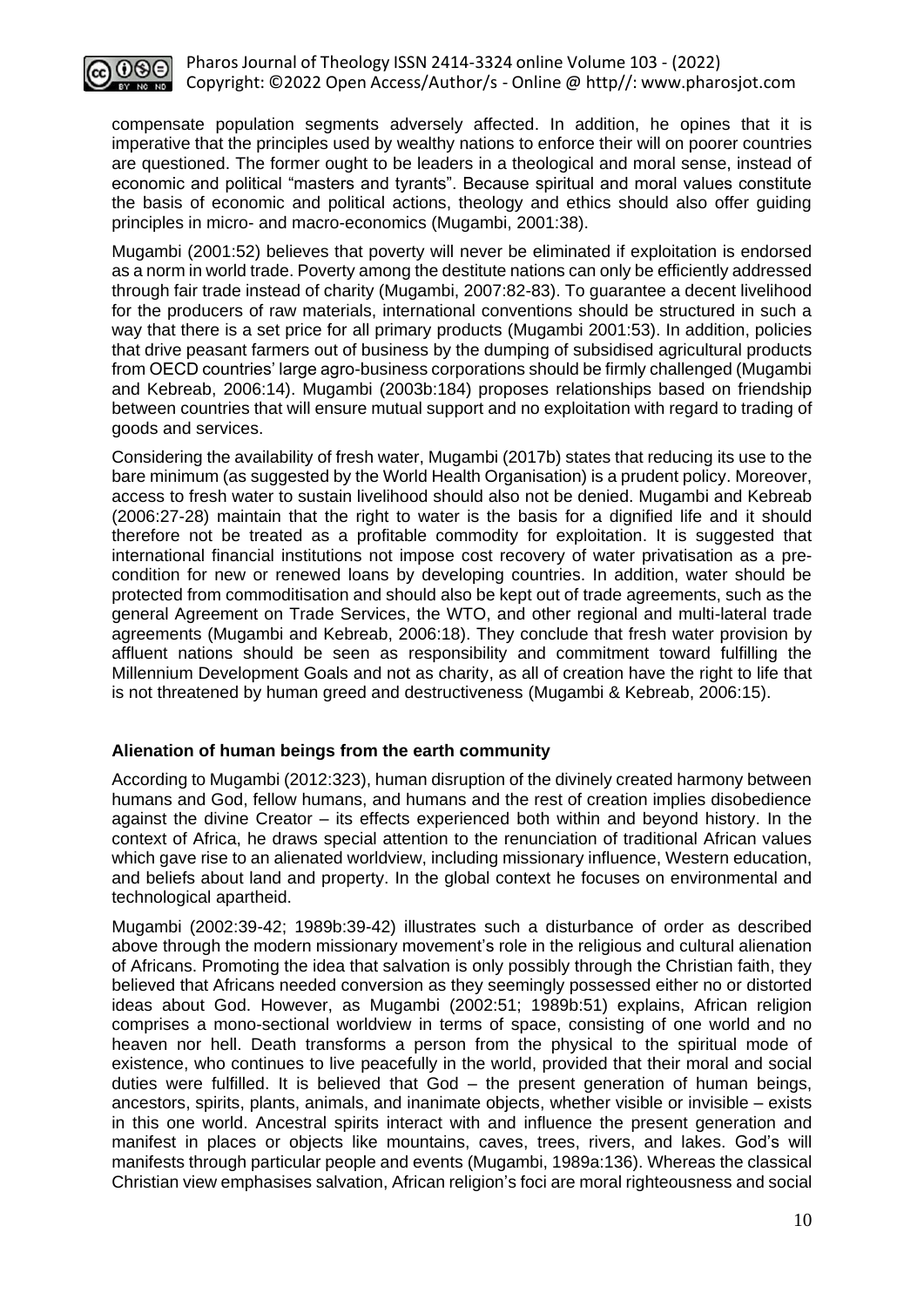

compensate population segments adversely affected. In addition, he opines that it is imperative that the principles used by wealthy nations to enforce their will on poorer countries are questioned. The former ought to be leaders in a theological and moral sense, instead of economic and political "masters and tyrants". Because spiritual and moral values constitute the basis of economic and political actions, theology and ethics should also offer guiding principles in micro- and macro-economics (Mugambi, 2001:38).

Mugambi (2001:52) believes that poverty will never be eliminated if exploitation is endorsed as a norm in world trade. Poverty among the destitute nations can only be efficiently addressed through fair trade instead of charity (Mugambi, 2007:82-83). To guarantee a decent livelihood for the producers of raw materials, international conventions should be structured in such a way that there is a set price for all primary products (Mugambi 2001:53). In addition, policies that drive peasant farmers out of business by the dumping of subsidised agricultural products from OECD countries' large agro-business corporations should be firmly challenged (Mugambi and Kebreab, 2006:14). Mugambi (2003b:184) proposes relationships based on friendship between countries that will ensure mutual support and no exploitation with regard to trading of goods and services.

Considering the availability of fresh water, Mugambi (2017b) states that reducing its use to the bare minimum (as suggested by the World Health Organisation) is a prudent policy. Moreover, access to fresh water to sustain livelihood should also not be denied. Mugambi and Kebreab (2006:27-28) maintain that the right to water is the basis for a dignified life and it should therefore not be treated as a profitable commodity for exploitation. It is suggested that international financial institutions not impose cost recovery of water privatisation as a precondition for new or renewed loans by developing countries. In addition, water should be protected from commoditisation and should also be kept out of trade agreements, such as the general Agreement on Trade Services, the WTO, and other regional and multi-lateral trade agreements (Mugambi and Kebreab, 2006:18). They conclude that fresh water provision by affluent nations should be seen as responsibility and commitment toward fulfilling the Millennium Development Goals and not as charity, as all of creation have the right to life that is not threatened by human greed and destructiveness (Mugambi & Kebreab, 2006:15).

## **Alienation of human beings from the earth community**

According to Mugambi (2012:323), human disruption of the divinely created harmony between humans and God, fellow humans, and humans and the rest of creation implies disobedience against the divine Creator – its effects experienced both within and beyond history. In the context of Africa, he draws special attention to the renunciation of traditional African values which gave rise to an alienated worldview, including missionary influence, Western education, and beliefs about land and property. In the global context he focuses on environmental and technological apartheid.

Mugambi (2002:39-42; 1989b:39-42) illustrates such a disturbance of order as described above through the modern missionary movement's role in the religious and cultural alienation of Africans. Promoting the idea that salvation is only possibly through the Christian faith, they believed that Africans needed conversion as they seemingly possessed either no or distorted ideas about God. However, as Mugambi (2002:51; 1989b:51) explains, African religion comprises a mono-sectional worldview in terms of space, consisting of one world and no heaven nor hell. Death transforms a person from the physical to the spiritual mode of existence, who continues to live peacefully in the world, provided that their moral and social duties were fulfilled. It is believed that God – the present generation of human beings, ancestors, spirits, plants, animals, and inanimate objects, whether visible or invisible – exists in this one world. Ancestral spirits interact with and influence the present generation and manifest in places or objects like mountains, caves, trees, rivers, and lakes. God's will manifests through particular people and events (Mugambi, 1989a:136). Whereas the classical Christian view emphasises salvation, African religion's foci are moral righteousness and social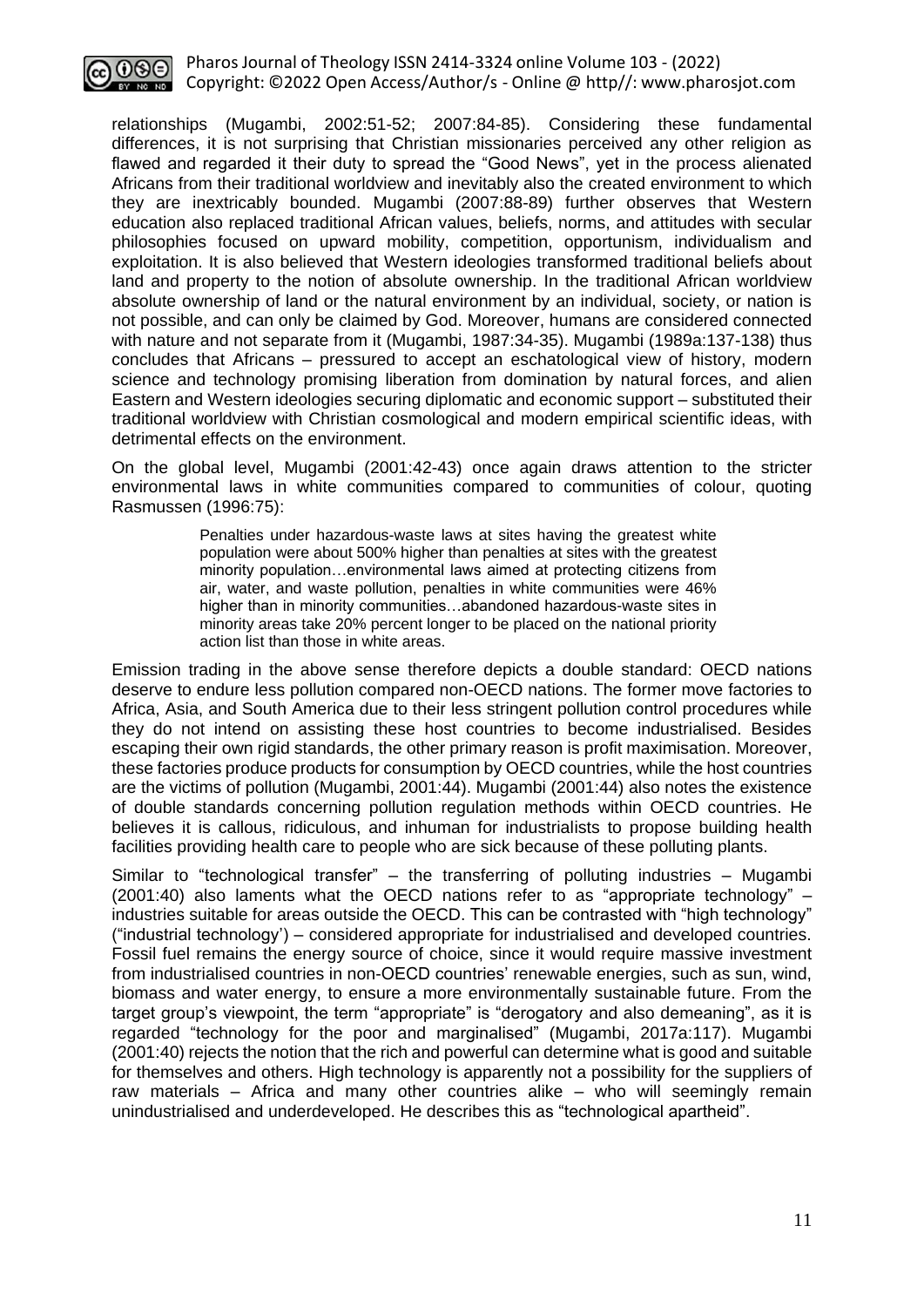

relationships (Mugambi, 2002:51-52; 2007:84-85). Considering these fundamental differences, it is not surprising that Christian missionaries perceived any other religion as flawed and regarded it their duty to spread the "Good News", yet in the process alienated Africans from their traditional worldview and inevitably also the created environment to which they are inextricably bounded. Mugambi (2007:88-89) further observes that Western education also replaced traditional African values, beliefs, norms, and attitudes with secular philosophies focused on upward mobility, competition, opportunism, individualism and exploitation. It is also believed that Western ideologies transformed traditional beliefs about land and property to the notion of absolute ownership. In the traditional African worldview absolute ownership of land or the natural environment by an individual, society, or nation is not possible, and can only be claimed by God. Moreover, humans are considered connected with nature and not separate from it (Mugambi, 1987:34-35). Mugambi (1989a:137-138) thus concludes that Africans – pressured to accept an eschatological view of history, modern science and technology promising liberation from domination by natural forces, and alien Eastern and Western ideologies securing diplomatic and economic support – substituted their traditional worldview with Christian cosmological and modern empirical scientific ideas, with detrimental effects on the environment.

On the global level, Mugambi (2001:42-43) once again draws attention to the stricter environmental laws in white communities compared to communities of colour, quoting Rasmussen (1996:75):

> Penalties under hazardous-waste laws at sites having the greatest white population were about 500% higher than penalties at sites with the greatest minority population…environmental laws aimed at protecting citizens from air, water, and waste pollution, penalties in white communities were 46% higher than in minority communities…abandoned hazardous-waste sites in minority areas take 20% percent longer to be placed on the national priority action list than those in white areas.

Emission trading in the above sense therefore depicts a double standard: OECD nations deserve to endure less pollution compared non-OECD nations. The former move factories to Africa, Asia, and South America due to their less stringent pollution control procedures while they do not intend on assisting these host countries to become industrialised. Besides escaping their own rigid standards, the other primary reason is profit maximisation. Moreover, these factories produce products for consumption by OECD countries, while the host countries are the victims of pollution (Mugambi, 2001:44). Mugambi (2001:44) also notes the existence of double standards concerning pollution regulation methods within OECD countries. He believes it is callous, ridiculous, and inhuman for industrialists to propose building health facilities providing health care to people who are sick because of these polluting plants.

Similar to "technological transfer" – the transferring of polluting industries – Mugambi (2001:40) also laments what the OECD nations refer to as "appropriate technology" – industries suitable for areas outside the OECD. This can be contrasted with "high technology" ("industrial technology') – considered appropriate for industrialised and developed countries. Fossil fuel remains the energy source of choice, since it would require massive investment from industrialised countries in non-OECD countries' renewable energies, such as sun, wind, biomass and water energy, to ensure a more environmentally sustainable future. From the target group's viewpoint, the term "appropriate" is "derogatory and also demeaning", as it is regarded "technology for the poor and marginalised" (Mugambi, 2017a:117). Mugambi (2001:40) rejects the notion that the rich and powerful can determine what is good and suitable for themselves and others. High technology is apparently not a possibility for the suppliers of raw materials – Africa and many other countries alike – who will seemingly remain unindustrialised and underdeveloped. He describes this as "technological apartheid".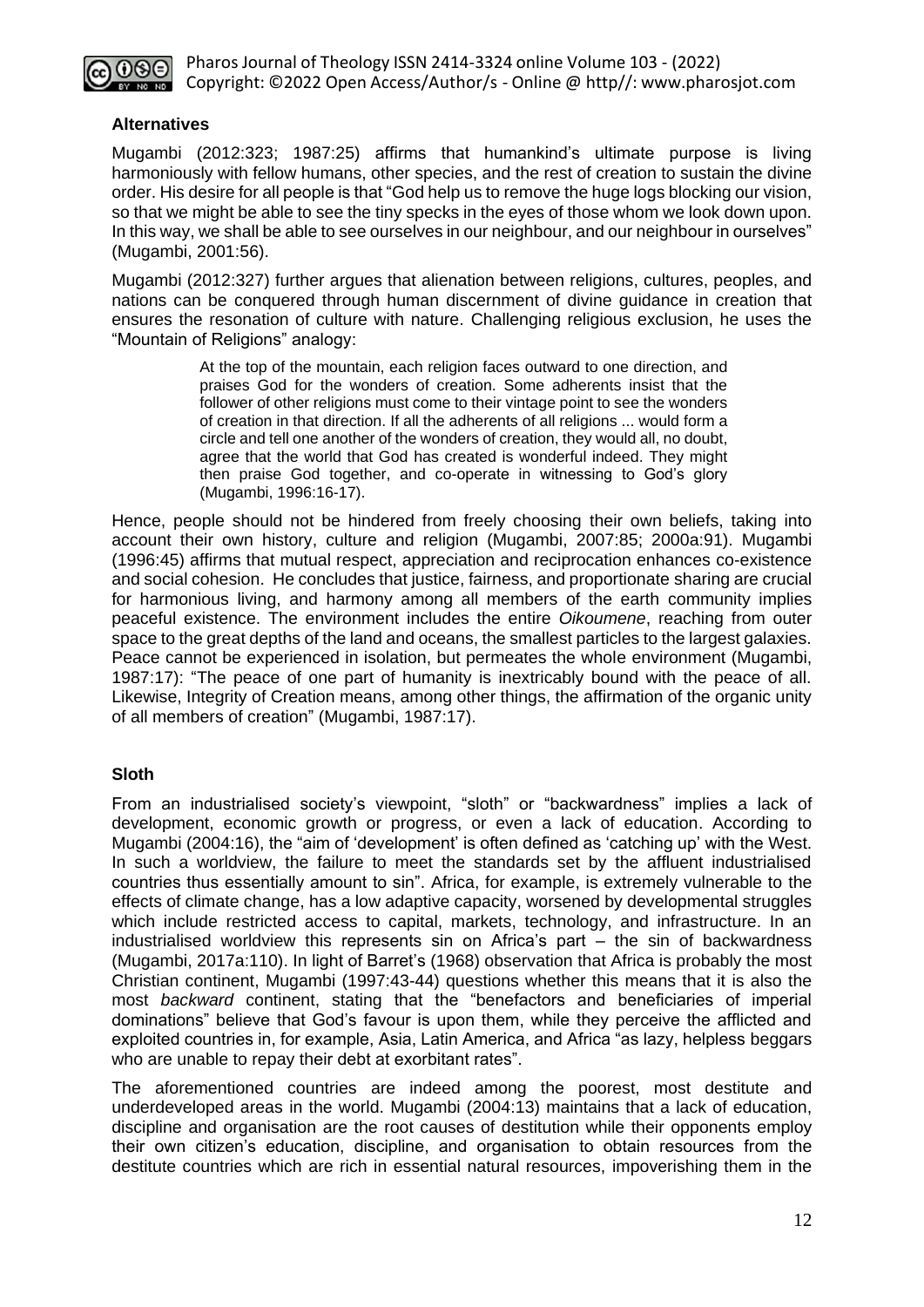

## **Alternatives**

Mugambi (2012:323; 1987:25) affirms that humankind's ultimate purpose is living harmoniously with fellow humans, other species, and the rest of creation to sustain the divine order. His desire for all people is that "God help us to remove the huge logs blocking our vision, so that we might be able to see the tiny specks in the eyes of those whom we look down upon. In this way, we shall be able to see ourselves in our neighbour, and our neighbour in ourselves" (Mugambi, 2001:56).

Mugambi (2012:327) further argues that alienation between religions, cultures, peoples, and nations can be conquered through human discernment of divine guidance in creation that ensures the resonation of culture with nature. Challenging religious exclusion, he uses the "Mountain of Religions" analogy:

> At the top of the mountain, each religion faces outward to one direction, and praises God for the wonders of creation. Some adherents insist that the follower of other religions must come to their vintage point to see the wonders of creation in that direction. If all the adherents of all religions ... would form a circle and tell one another of the wonders of creation, they would all, no doubt, agree that the world that God has created is wonderful indeed. They might then praise God together, and co-operate in witnessing to God's glory (Mugambi, 1996:16-17).

Hence, people should not be hindered from freely choosing their own beliefs, taking into account their own history, culture and religion (Mugambi, 2007:85; 2000a:91). Mugambi (1996:45) affirms that mutual respect, appreciation and reciprocation enhances co-existence and social cohesion. He concludes that justice, fairness, and proportionate sharing are crucial for harmonious living, and harmony among all members of the earth community implies peaceful existence. The environment includes the entire *Oikoumene*, reaching from outer space to the great depths of the land and oceans, the smallest particles to the largest galaxies. Peace cannot be experienced in isolation, but permeates the whole environment (Mugambi, 1987:17): "The peace of one part of humanity is inextricably bound with the peace of all. Likewise, Integrity of Creation means, among other things, the affirmation of the organic unity of all members of creation" (Mugambi, 1987:17).

## **Sloth**

From an industrialised society's viewpoint, "sloth" or "backwardness" implies a lack of development, economic growth or progress, or even a lack of education. According to Mugambi (2004:16), the "aim of 'development' is often defined as 'catching up' with the West. In such a worldview, the failure to meet the standards set by the affluent industrialised countries thus essentially amount to sin". Africa, for example, is extremely vulnerable to the effects of climate change, has a low adaptive capacity, worsened by developmental struggles which include restricted access to capital, markets, technology, and infrastructure. In an industrialised worldview this represents sin on Africa's part – the sin of backwardness (Mugambi, 2017a:110). In light of Barret's (1968) observation that Africa is probably the most Christian continent, Mugambi (1997:43-44) questions whether this means that it is also the most *backward* continent, stating that the "benefactors and beneficiaries of imperial dominations" believe that God's favour is upon them, while they perceive the afflicted and exploited countries in, for example, Asia, Latin America, and Africa "as lazy, helpless beggars who are unable to repay their debt at exorbitant rates".

The aforementioned countries are indeed among the poorest, most destitute and underdeveloped areas in the world. Mugambi (2004:13) maintains that a lack of education, discipline and organisation are the root causes of destitution while their opponents employ their own citizen's education, discipline, and organisation to obtain resources from the destitute countries which are rich in essential natural resources, impoverishing them in the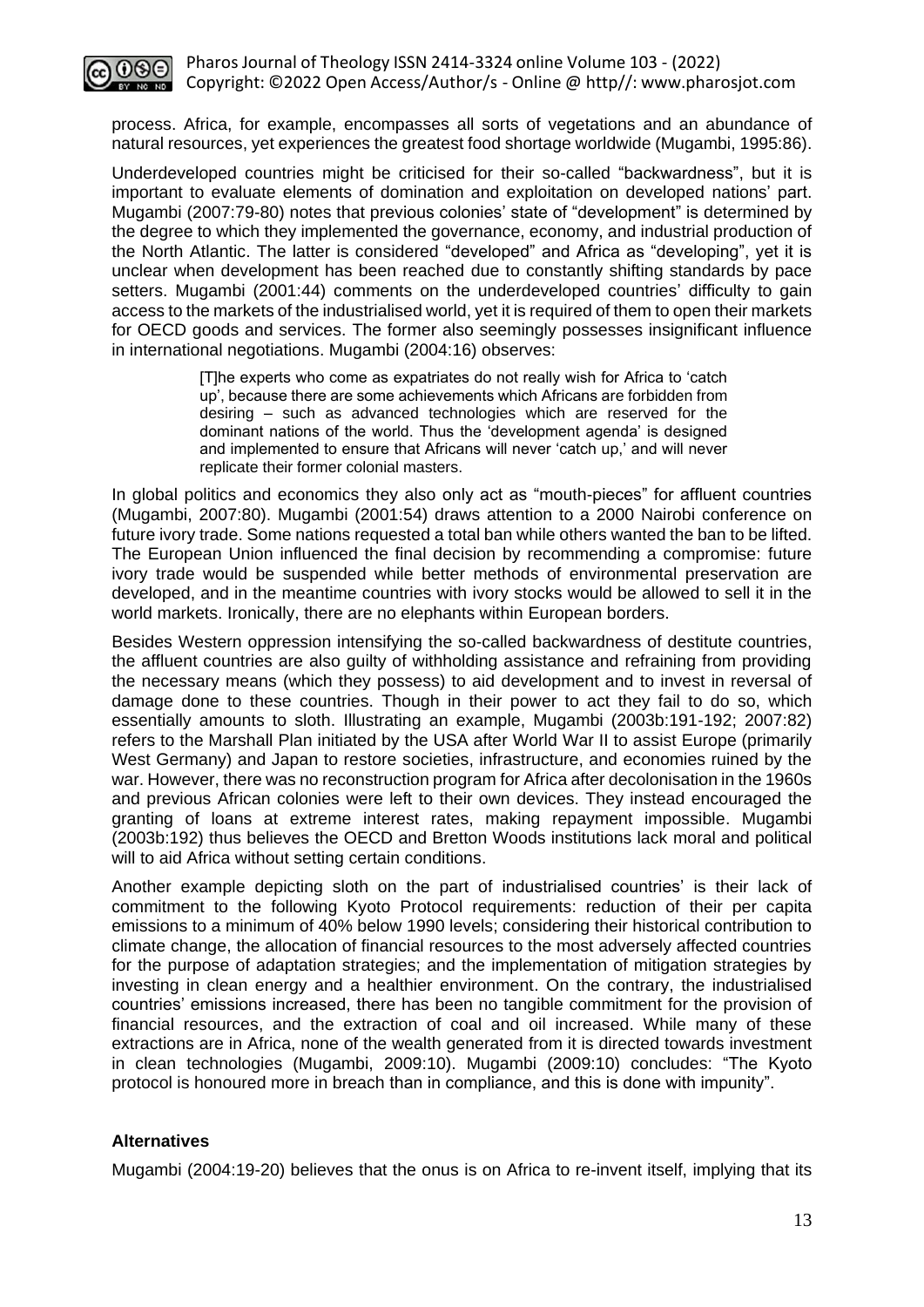

process. Africa, for example, encompasses all sorts of vegetations and an abundance of natural resources, yet experiences the greatest food shortage worldwide (Mugambi, 1995:86).

Underdeveloped countries might be criticised for their so-called "backwardness", but it is important to evaluate elements of domination and exploitation on developed nations' part. Mugambi (2007:79-80) notes that previous colonies' state of "development" is determined by the degree to which they implemented the governance, economy, and industrial production of the North Atlantic. The latter is considered "developed" and Africa as "developing", yet it is unclear when development has been reached due to constantly shifting standards by pace setters. Mugambi (2001:44) comments on the underdeveloped countries' difficulty to gain access to the markets of the industrialised world, yet it is required of them to open their markets for OECD goods and services. The former also seemingly possesses insignificant influence in international negotiations. Mugambi (2004:16) observes:

> [T]he experts who come as expatriates do not really wish for Africa to 'catch up', because there are some achievements which Africans are forbidden from desiring – such as advanced technologies which are reserved for the dominant nations of the world. Thus the 'development agenda' is designed and implemented to ensure that Africans will never 'catch up,' and will never replicate their former colonial masters.

In global politics and economics they also only act as "mouth-pieces" for affluent countries (Mugambi, 2007:80). Mugambi (2001:54) draws attention to a 2000 Nairobi conference on future ivory trade. Some nations requested a total ban while others wanted the ban to be lifted. The European Union influenced the final decision by recommending a compromise: future ivory trade would be suspended while better methods of environmental preservation are developed, and in the meantime countries with ivory stocks would be allowed to sell it in the world markets. Ironically, there are no elephants within European borders.

Besides Western oppression intensifying the so-called backwardness of destitute countries, the affluent countries are also guilty of withholding assistance and refraining from providing the necessary means (which they possess) to aid development and to invest in reversal of damage done to these countries. Though in their power to act they fail to do so, which essentially amounts to sloth. Illustrating an example, Mugambi (2003b:191-192; 2007:82) refers to the Marshall Plan initiated by the USA after World War II to assist Europe (primarily West Germany) and Japan to restore societies, infrastructure, and economies ruined by the war. However, there was no reconstruction program for Africa after decolonisation in the 1960s and previous African colonies were left to their own devices. They instead encouraged the granting of loans at extreme interest rates, making repayment impossible. Mugambi (2003b:192) thus believes the OECD and Bretton Woods institutions lack moral and political will to aid Africa without setting certain conditions.

Another example depicting sloth on the part of industrialised countries' is their lack of commitment to the following Kyoto Protocol requirements: reduction of their per capita emissions to a minimum of 40% below 1990 levels; considering their historical contribution to climate change, the allocation of financial resources to the most adversely affected countries for the purpose of adaptation strategies; and the implementation of mitigation strategies by investing in clean energy and a healthier environment. On the contrary, the industrialised countries' emissions increased, there has been no tangible commitment for the provision of financial resources, and the extraction of coal and oil increased. While many of these extractions are in Africa, none of the wealth generated from it is directed towards investment in clean technologies (Mugambi, 2009:10). Mugambi (2009:10) concludes: "The Kyoto protocol is honoured more in breach than in compliance, and this is done with impunity".

#### **Alternatives**

Mugambi (2004:19-20) believes that the onus is on Africa to re-invent itself, implying that its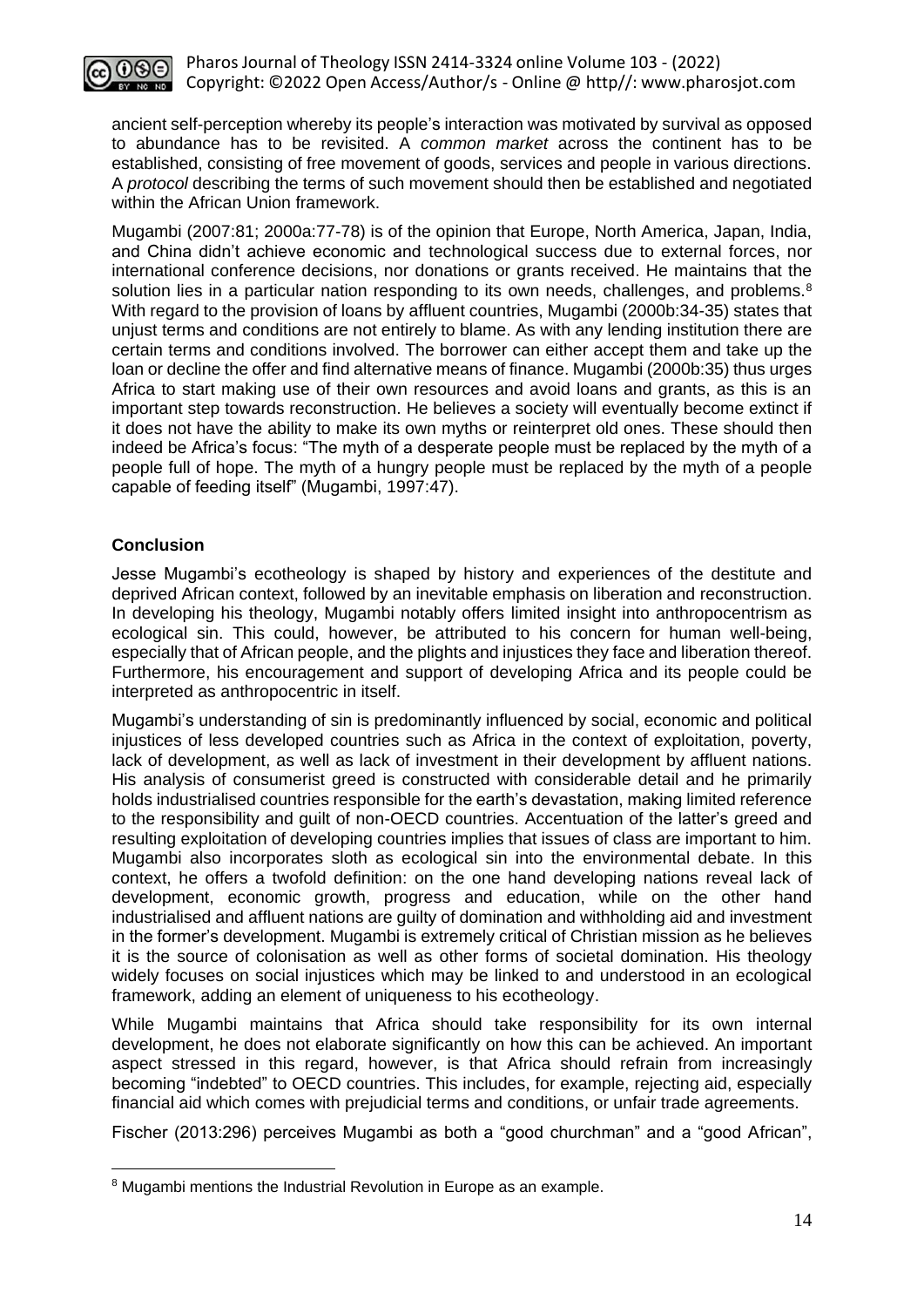

ancient self-perception whereby its people's interaction was motivated by survival as opposed to abundance has to be revisited. A *common market* across the continent has to be established, consisting of free movement of goods, services and people in various directions. A *protocol* describing the terms of such movement should then be established and negotiated within the African Union framework.

Mugambi (2007:81; 2000a:77-78) is of the opinion that Europe, North America, Japan, India, and China didn't achieve economic and technological success due to external forces, nor international conference decisions, nor donations or grants received. He maintains that the solution lies in a particular nation responding to its own needs, challenges, and problems.<sup>8</sup> With regard to the provision of loans by affluent countries, Mugambi (2000b:34-35) states that unjust terms and conditions are not entirely to blame. As with any lending institution there are certain terms and conditions involved. The borrower can either accept them and take up the loan or decline the offer and find alternative means of finance. Mugambi (2000b:35) thus urges Africa to start making use of their own resources and avoid loans and grants, as this is an important step towards reconstruction. He believes a society will eventually become extinct if it does not have the ability to make its own myths or reinterpret old ones. These should then indeed be Africa's focus: "The myth of a desperate people must be replaced by the myth of a people full of hope. The myth of a hungry people must be replaced by the myth of a people capable of feeding itself" (Mugambi, 1997:47).

## **Conclusion**

Jesse Mugambi's ecotheology is shaped by history and experiences of the destitute and deprived African context, followed by an inevitable emphasis on liberation and reconstruction. In developing his theology, Mugambi notably offers limited insight into anthropocentrism as ecological sin. This could, however, be attributed to his concern for human well-being, especially that of African people, and the plights and injustices they face and liberation thereof. Furthermore, his encouragement and support of developing Africa and its people could be interpreted as anthropocentric in itself.

Mugambi's understanding of sin is predominantly influenced by social, economic and political injustices of less developed countries such as Africa in the context of exploitation, poverty, lack of development, as well as lack of investment in their development by affluent nations. His analysis of consumerist greed is constructed with considerable detail and he primarily holds industrialised countries responsible for the earth's devastation, making limited reference to the responsibility and guilt of non-OECD countries. Accentuation of the latter's greed and resulting exploitation of developing countries implies that issues of class are important to him. Mugambi also incorporates sloth as ecological sin into the environmental debate. In this context, he offers a twofold definition: on the one hand developing nations reveal lack of development, economic growth, progress and education, while on the other hand industrialised and affluent nations are guilty of domination and withholding aid and investment in the former's development. Mugambi is extremely critical of Christian mission as he believes it is the source of colonisation as well as other forms of societal domination. His theology widely focuses on social injustices which may be linked to and understood in an ecological framework, adding an element of uniqueness to his ecotheology.

While Mugambi maintains that Africa should take responsibility for its own internal development, he does not elaborate significantly on how this can be achieved. An important aspect stressed in this regard, however, is that Africa should refrain from increasingly becoming "indebted" to OECD countries. This includes, for example, rejecting aid, especially financial aid which comes with prejudicial terms and conditions, or unfair trade agreements.

Fischer (2013:296) perceives Mugambi as both a "good churchman" and a "good African",

<sup>&</sup>lt;sup>8</sup> Mugambi mentions the Industrial Revolution in Europe as an example.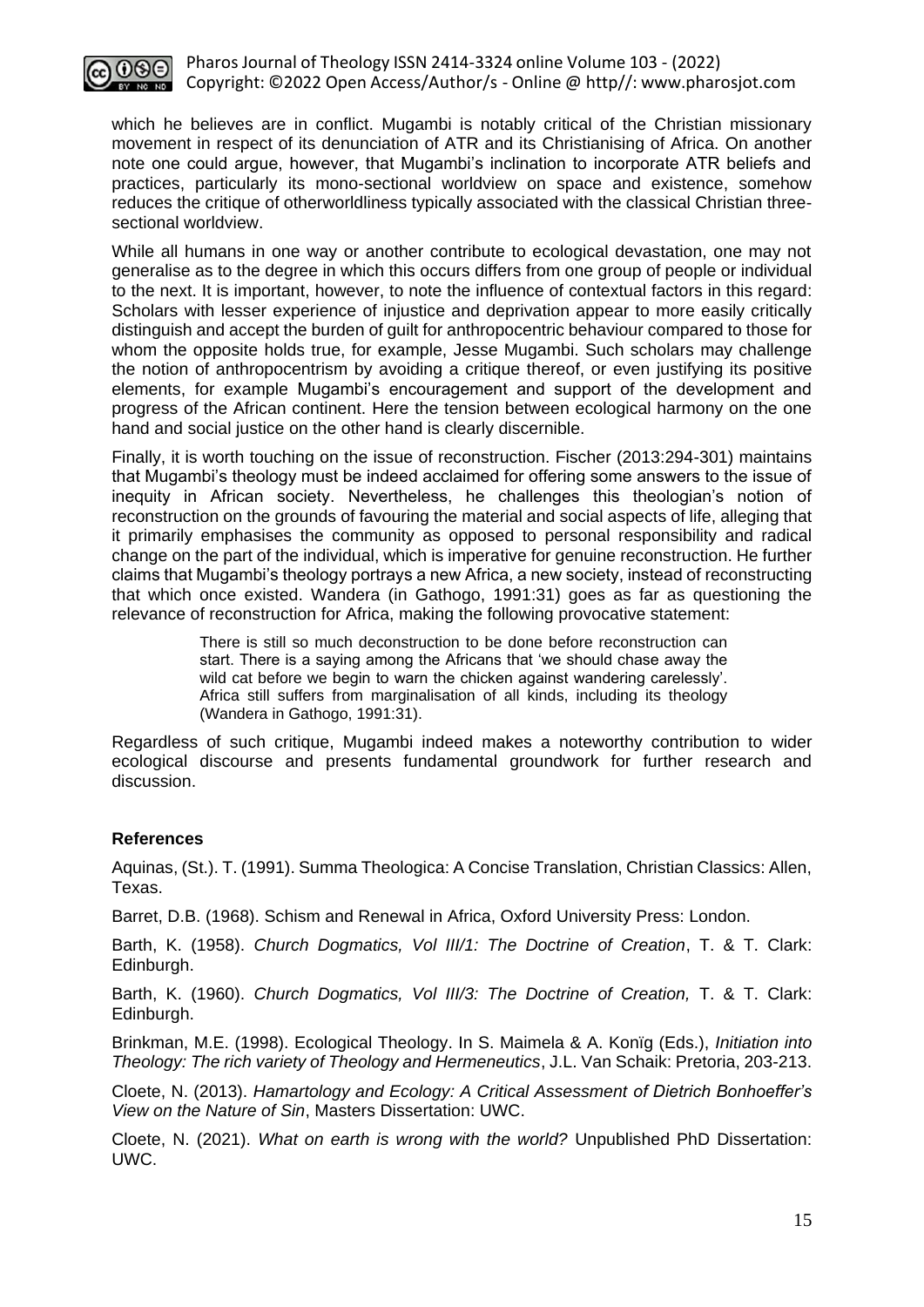

which he believes are in conflict. Mugambi is notably critical of the Christian missionary movement in respect of its denunciation of ATR and its Christianising of Africa. On another note one could argue, however, that Mugambi's inclination to incorporate ATR beliefs and practices, particularly its mono-sectional worldview on space and existence, somehow reduces the critique of otherworldliness typically associated with the classical Christian threesectional worldview.

While all humans in one way or another contribute to ecological devastation, one may not generalise as to the degree in which this occurs differs from one group of people or individual to the next. It is important, however, to note the influence of contextual factors in this regard: Scholars with lesser experience of injustice and deprivation appear to more easily critically distinguish and accept the burden of guilt for anthropocentric behaviour compared to those for whom the opposite holds true, for example, Jesse Mugambi. Such scholars may challenge the notion of anthropocentrism by avoiding a critique thereof, or even justifying its positive elements, for example Mugambi's encouragement and support of the development and progress of the African continent. Here the tension between ecological harmony on the one hand and social justice on the other hand is clearly discernible.

Finally, it is worth touching on the issue of reconstruction. Fischer (2013:294-301) maintains that Mugambi's theology must be indeed acclaimed for offering some answers to the issue of inequity in African society. Nevertheless, he challenges this theologian's notion of reconstruction on the grounds of favouring the material and social aspects of life, alleging that it primarily emphasises the community as opposed to personal responsibility and radical change on the part of the individual, which is imperative for genuine reconstruction. He further claims that Mugambi's theology portrays a new Africa, a new society, instead of reconstructing that which once existed. Wandera (in Gathogo, 1991:31) goes as far as questioning the relevance of reconstruction for Africa, making the following provocative statement:

> There is still so much deconstruction to be done before reconstruction can start. There is a saying among the Africans that 'we should chase away the wild cat before we begin to warn the chicken against wandering carelessly'. Africa still suffers from marginalisation of all kinds, including its theology (Wandera in Gathogo, 1991:31).

Regardless of such critique, Mugambi indeed makes a noteworthy contribution to wider ecological discourse and presents fundamental groundwork for further research and discussion.

## **References**

Aquinas, (St.). T. (1991). Summa Theologica: A Concise Translation, Christian Classics: Allen, Texas.

Barret, D.B. (1968). Schism and Renewal in Africa, Oxford University Press: London.

Barth, K. (1958). *Church Dogmatics, Vol III/1: The Doctrine of Creation*, T. & T. Clark: Edinburgh.

Barth, K. (1960). *Church Dogmatics, Vol III/3: The Doctrine of Creation*, T. & T. Clark: Edinburgh.

Brinkman, M.E. (1998). Ecological Theology. In S. Maimela & A. Konïg (Eds.), *Initiation into Theology: The rich variety of Theology and Hermeneutics*, J.L. Van Schaik: Pretoria, 203-213.

Cloete, N. (2013). *Hamartology and Ecology: A Critical Assessment of Dietrich Bonhoeffer's View on the Nature of Sin*, Masters Dissertation: UWC.

Cloete, N. (2021). *What on earth is wrong with the world?* Unpublished PhD Dissertation: UWC.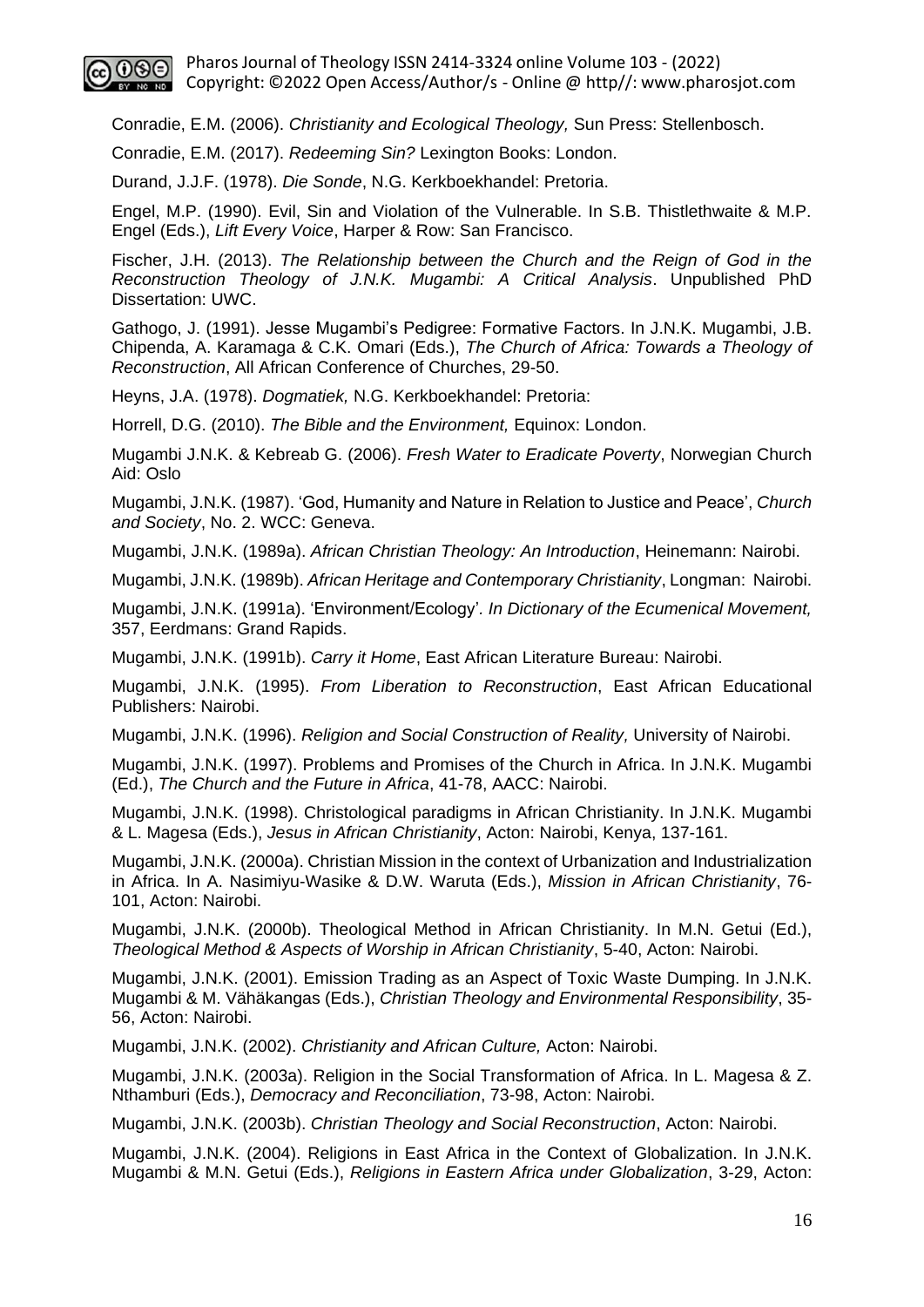

Conradie, E.M. (2006). *Christianity and Ecological Theology,* Sun Press: Stellenbosch.

Conradie, E.M. (2017). *Redeeming Sin?* Lexington Books: London.

Durand, J.J.F. (1978). *Die Sonde*, N.G. Kerkboekhandel: Pretoria.

Engel, M.P. (1990). Evil, Sin and Violation of the Vulnerable. In S.B. Thistlethwaite & M.P. Engel (Eds.), *Lift Every Voice*, Harper & Row: San Francisco.

Fischer, J.H. (2013). *The Relationship between the Church and the Reign of God in the Reconstruction Theology of J.N.K. Mugambi: A Critical Analysis*. Unpublished PhD Dissertation: UWC.

Gathogo, J. (1991). Jesse Mugambi's Pedigree: Formative Factors. In J.N.K. Mugambi, J.B. Chipenda, A. Karamaga & C.K. Omari (Eds.), *The Church of Africa: Towards a Theology of Reconstruction*, All African Conference of Churches, 29-50.

Heyns, J.A. (1978). *Dogmatiek,* N.G. Kerkboekhandel: Pretoria:

Horrell, D.G. (2010). *The Bible and the Environment,* Equinox: London.

Mugambi J.N.K. & Kebreab G. (2006). *Fresh Water to Eradicate Poverty*, Norwegian Church Aid: Oslo

Mugambi, J.N.K. (1987). 'God, Humanity and Nature in Relation to Justice and Peace', *Church and Society*, No. 2. WCC: Geneva.

Mugambi, J.N.K. (1989a). *African Christian Theology: An Introduction*, Heinemann: Nairobi.

Mugambi, J.N.K. (1989b). *African Heritage and Contemporary Christianity*, Longman: Nairobi.

Mugambi, J.N.K. (1991a). 'Environment/Ecology'*. In Dictionary of the Ecumenical Movement,*  357, Eerdmans: Grand Rapids.

Mugambi, J.N.K. (1991b). *Carry it Home*, East African Literature Bureau: Nairobi.

Mugambi, J.N.K. (1995). *From Liberation to Reconstruction*, East African Educational Publishers: Nairobi.

Mugambi, J.N.K. (1996). *Religion and Social Construction of Reality,* University of Nairobi.

Mugambi, J.N.K. (1997). Problems and Promises of the Church in Africa. In J.N.K. Mugambi (Ed.), *The Church and the Future in Africa*, 41-78, AACC: Nairobi.

Mugambi, J.N.K. (1998). Christological paradigms in African Christianity. In J.N.K. Mugambi & L. Magesa (Eds.), *Jesus in African Christianity*, Acton: Nairobi, Kenya, 137-161.

Mugambi, J.N.K. (2000a). Christian Mission in the context of Urbanization and Industrialization in Africa. In A. Nasimiyu-Wasike & D.W. Waruta (Eds.), *Mission in African Christianity*, 76- 101, Acton: Nairobi.

Mugambi, J.N.K. (2000b). Theological Method in African Christianity. In M.N. Getui (Ed.), *Theological Method & Aspects of Worship in African Christianity*, 5-40, Acton: Nairobi.

Mugambi, J.N.K. (2001). Emission Trading as an Aspect of Toxic Waste Dumping. In J.N.K. Mugambi & M. Vähäkangas (Eds.), *Christian Theology and Environmental Responsibility*, 35- 56, Acton: Nairobi.

Mugambi, J.N.K. (2002). *Christianity and African Culture,* Acton: Nairobi.

Mugambi, J.N.K. (2003a). Religion in the Social Transformation of Africa. In L. Magesa & Z. Nthamburi (Eds.), *Democracy and Reconciliation*, 73-98, Acton: Nairobi.

Mugambi, J.N.K. (2003b). *Christian Theology and Social Reconstruction*, Acton: Nairobi.

Mugambi, J.N.K. (2004). Religions in East Africa in the Context of Globalization. In J.N.K. Mugambi & M.N. Getui (Eds.), *Religions in Eastern Africa under Globalization*, 3-29, Acton: